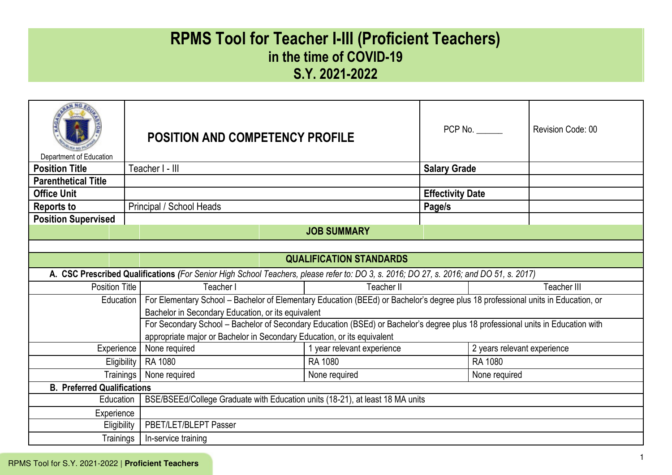# **RPMS Tool for Teacher I-III (Proficient Teachers) in the time of COVID-19 S.Y. 2021-2022**

| Department of Education                     |  | <b>POSITION AND COMPETENCY PROFILE</b>                                                                                                 |                                |                                                                                                                                  | $PCP$ No. $\_\_\_\_\_\_\_\_\$ | Revision Code: 00 |
|---------------------------------------------|--|----------------------------------------------------------------------------------------------------------------------------------------|--------------------------------|----------------------------------------------------------------------------------------------------------------------------------|-------------------------------|-------------------|
| <b>Position Title</b>                       |  | Teacher I - III                                                                                                                        |                                | <b>Salary Grade</b>                                                                                                              |                               |                   |
| <b>Parenthetical Title</b>                  |  |                                                                                                                                        |                                |                                                                                                                                  |                               |                   |
| <b>Office Unit</b>                          |  |                                                                                                                                        |                                | <b>Effectivity Date</b>                                                                                                          |                               |                   |
| <b>Reports to</b>                           |  | Principal / School Heads                                                                                                               |                                | Page/s                                                                                                                           |                               |                   |
| <b>Position Supervised</b>                  |  |                                                                                                                                        |                                |                                                                                                                                  |                               |                   |
|                                             |  |                                                                                                                                        | <b>JOB SUMMARY</b>             |                                                                                                                                  |                               |                   |
|                                             |  |                                                                                                                                        |                                |                                                                                                                                  |                               |                   |
|                                             |  |                                                                                                                                        | <b>QUALIFICATION STANDARDS</b> |                                                                                                                                  |                               |                   |
|                                             |  | A. CSC Prescribed Qualifications (For Senior High School Teachers, please refer to: DO 3, s. 2016; DO 27, s. 2016; and DO 51, s. 2017) |                                |                                                                                                                                  |                               |                   |
| <b>Position Title</b>                       |  | Teacher I                                                                                                                              | Teacher II                     |                                                                                                                                  |                               | Teacher III       |
| Education                                   |  |                                                                                                                                        |                                | For Elementary School - Bachelor of Elementary Education (BEEd) or Bachelor's degree plus 18 professional units in Education, or |                               |                   |
|                                             |  | Bachelor in Secondary Education, or its equivalent                                                                                     |                                |                                                                                                                                  |                               |                   |
|                                             |  | For Secondary School - Bachelor of Secondary Education (BSEd) or Bachelor's degree plus 18 professional units in Education with        |                                |                                                                                                                                  |                               |                   |
|                                             |  | appropriate major or Bachelor in Secondary Education, or its equivalent                                                                |                                |                                                                                                                                  |                               |                   |
| Experience                                  |  | None required                                                                                                                          | 1 year relevant experience     |                                                                                                                                  | 2 years relevant experience   |                   |
| Eligibility                                 |  | RA 1080                                                                                                                                | RA 1080                        | RA 1080                                                                                                                          |                               |                   |
| Trainings<br>None required<br>None required |  |                                                                                                                                        |                                |                                                                                                                                  | None required                 |                   |
| <b>B. Preferred Qualifications</b>          |  |                                                                                                                                        |                                |                                                                                                                                  |                               |                   |
| Education                                   |  | BSE/BSEEd/College Graduate with Education units (18-21), at least 18 MA units                                                          |                                |                                                                                                                                  |                               |                   |
| Experience                                  |  |                                                                                                                                        |                                |                                                                                                                                  |                               |                   |
| Eligibility                                 |  | PBET/LET/BLEPT Passer                                                                                                                  |                                |                                                                                                                                  |                               |                   |
| Trainings                                   |  | In-service training                                                                                                                    |                                |                                                                                                                                  |                               |                   |

I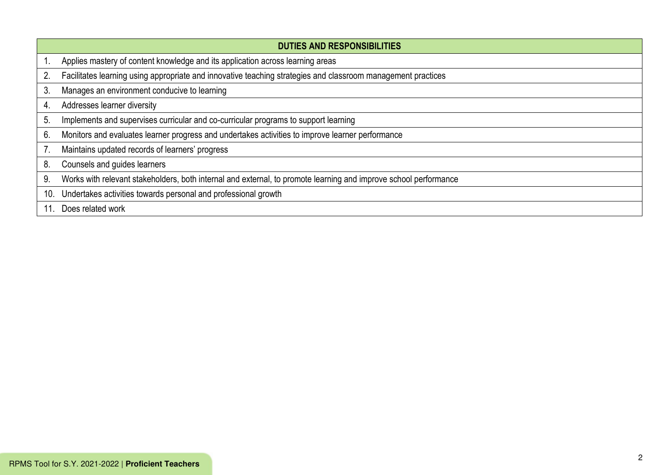|                | <b>DUTIES AND RESPONSIBILITIES</b>                                                                               |
|----------------|------------------------------------------------------------------------------------------------------------------|
|                | Applies mastery of content knowledge and its application across learning areas                                   |
| 2.             | Facilitates learning using appropriate and innovative teaching strategies and classroom management practices     |
| 3              | Manages an environment conducive to learning                                                                     |
| 4.             | Addresses learner diversity                                                                                      |
| 5 <sub>1</sub> | Implements and supervises curricular and co-curricular programs to support learning                              |
| 6 <sub>1</sub> | Monitors and evaluates learner progress and undertakes activities to improve learner performance                 |
|                | Maintains updated records of learners' progress                                                                  |
| 8.             | Counsels and guides learners                                                                                     |
| 9.             | Works with relevant stakeholders, both internal and external, to promote learning and improve school performance |
| 10.            | Undertakes activities towards personal and professional growth                                                   |
|                | Does related work                                                                                                |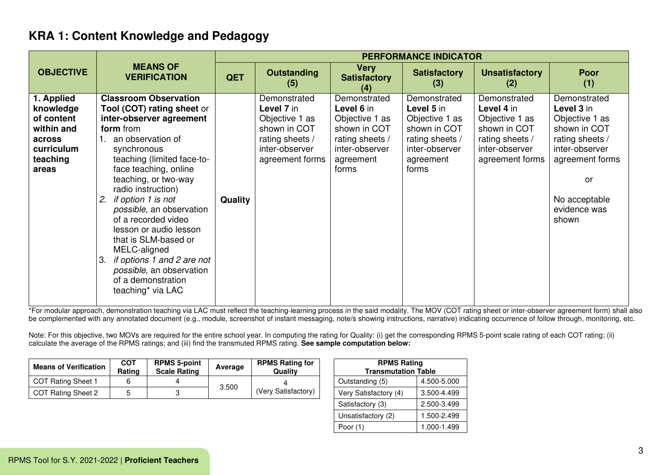|                                                                                                  |                                                                                                                                                                                                                                                                                                                                                                                                                                                                                                                 |            |                                                                                                                      |                                                                                                                         | <b>PERFORMANCE INDICATOR</b>                                                                                            |                                                                                                                      |                                                                                                                                                                      |
|--------------------------------------------------------------------------------------------------|-----------------------------------------------------------------------------------------------------------------------------------------------------------------------------------------------------------------------------------------------------------------------------------------------------------------------------------------------------------------------------------------------------------------------------------------------------------------------------------------------------------------|------------|----------------------------------------------------------------------------------------------------------------------|-------------------------------------------------------------------------------------------------------------------------|-------------------------------------------------------------------------------------------------------------------------|----------------------------------------------------------------------------------------------------------------------|----------------------------------------------------------------------------------------------------------------------------------------------------------------------|
| <b>OBJECTIVE</b>                                                                                 | <b>MEANS OF</b><br><b>VERIFICATION</b>                                                                                                                                                                                                                                                                                                                                                                                                                                                                          | <b>QET</b> | <b>Outstanding</b><br>(5)                                                                                            | <b>Very</b><br><b>Satisfactory</b><br>(4)                                                                               | <b>Satisfactory</b><br>(3)                                                                                              | <b>Unsatisfactory</b><br>(2)                                                                                         | <b>Poor</b><br>(1)                                                                                                                                                   |
| 1. Applied<br>knowledge<br>of content<br>within and<br>across<br>curriculum<br>teaching<br>areas | <b>Classroom Observation</b><br><b>Tool (COT) rating sheet or</b><br>inter-observer agreement<br>form from<br>an observation of<br>synchronous<br>teaching (limited face-to-<br>face teaching, online<br>teaching, or two-way<br>radio instruction)<br>if option 1 is not<br>2.<br>possible, an observation<br>of a recorded video<br>lesson or audio lesson<br>that is SLM-based or<br>MELC-aligned<br>if options 1 and 2 are not<br>3.<br>possible, an observation<br>of a demonstration<br>teaching* via LAC | Quality    | Demonstrated<br>Level 7 in<br>Objective 1 as<br>shown in COT<br>rating sheets /<br>inter-observer<br>agreement forms | Demonstrated<br>Level 6 in<br>Objective 1 as<br>shown in COT<br>rating sheets /<br>inter-observer<br>agreement<br>forms | Demonstrated<br>Level 5 in<br>Objective 1 as<br>shown in COT<br>rating sheets /<br>inter-observer<br>agreement<br>forms | Demonstrated<br>Level 4 in<br>Objective 1 as<br>shown in COT<br>rating sheets /<br>inter-observer<br>agreement forms | Demonstrated<br>Level 3 in<br>Objective 1 as<br>shown in COT<br>rating sheets /<br>inter-observer<br>agreement forms<br>or<br>No acceptable<br>evidence was<br>shown |

\*For modular approach, demonstration teaching via LAC must reflect the teaching-learning process in the said modality. The MOV (COT rating sheet or inter-observer agreement form) shall also be complemented with any annotated document (e.g., module, screenshot of instant messaging, note/s showing instructions, narrative) indicating occurrence of follow through, monitoring, etc.

| <b>Means of Verification</b> | COT<br>Rating | <b>RPMS 5-point</b><br><b>Scale Rating</b> | Average | <b>RPMS Rating for</b><br>Quality | <b>RPMS Rating</b><br><b>Transmutation Table</b> |             |
|------------------------------|---------------|--------------------------------------------|---------|-----------------------------------|--------------------------------------------------|-------------|
| COT Rating Sheet 1           |               |                                            | 3.500   |                                   | Outstanding (5)                                  | 4.500-5.000 |
| COT Rating Sheet 2           |               |                                            |         | (Very Satisfactory)               | Very Satisfactory (4)                            | 3.500-4.499 |

| <b>RPMS Rating</b>         |             |  |  |  |  |  |
|----------------------------|-------------|--|--|--|--|--|
| <b>Transmutation Table</b> |             |  |  |  |  |  |
| Outstanding (5)            | 4.500-5.000 |  |  |  |  |  |
| Very Satisfactory (4)      | 3.500-4.499 |  |  |  |  |  |
| Satisfactory (3)           | 2.500-3.499 |  |  |  |  |  |
| Unsatisfactory (2)         | 1.500-2.499 |  |  |  |  |  |
| Poor $(1)$                 | 1.000-1.499 |  |  |  |  |  |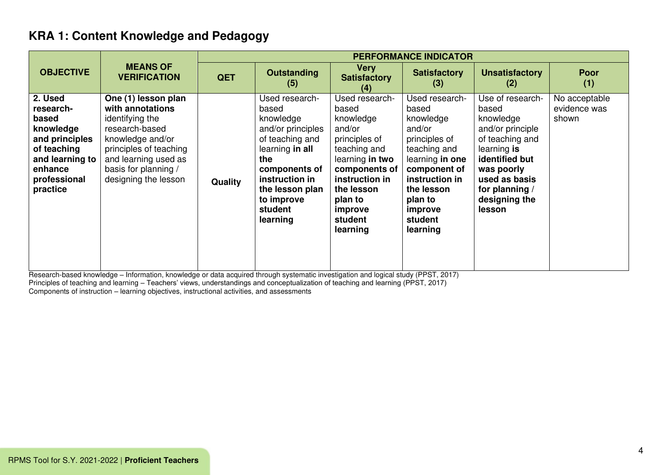|                                                                                                                                       |                                                                                                                                                                                                    |                | <b>PERFORMANCE INDICATOR</b>                                                                                                                                                                      |                                                                                                                                                                                                  |                                                                                                                                                                                                 |                                                                                                                                                                                            |                                        |  |  |
|---------------------------------------------------------------------------------------------------------------------------------------|----------------------------------------------------------------------------------------------------------------------------------------------------------------------------------------------------|----------------|---------------------------------------------------------------------------------------------------------------------------------------------------------------------------------------------------|--------------------------------------------------------------------------------------------------------------------------------------------------------------------------------------------------|-------------------------------------------------------------------------------------------------------------------------------------------------------------------------------------------------|--------------------------------------------------------------------------------------------------------------------------------------------------------------------------------------------|----------------------------------------|--|--|
| <b>OBJECTIVE</b>                                                                                                                      | <b>MEANS OF</b><br><b>VERIFICATION</b>                                                                                                                                                             | <b>QET</b>     | <b>Very</b><br><b>Outstanding</b><br><b>Satisfactory</b><br>(5)<br>(4)                                                                                                                            |                                                                                                                                                                                                  | <b>Satisfactory</b><br>(3)                                                                                                                                                                      | <b>Unsatisfactory</b><br>(2)                                                                                                                                                               | <b>Poor</b><br>(1)                     |  |  |
| 2. Used<br>research-<br>based<br>knowledge<br>and principles<br>of teaching<br>and learning to<br>enhance<br>professional<br>practice | One (1) lesson plan<br>with annotations<br>identifying the<br>research-based<br>knowledge and/or<br>principles of teaching<br>and learning used as<br>basis for planning /<br>designing the lesson | <b>Quality</b> | Used research-<br>based<br>knowledge<br>and/or principles<br>of teaching and<br>learning in all<br>the<br>components of<br>instruction in<br>the lesson plan<br>to improve<br>student<br>learning | Used research-<br>based<br>knowledge<br>and/or<br>principles of<br>teaching and<br>learning in two<br>components of<br>instruction in<br>the lesson<br>plan to<br>improve<br>student<br>learning | Used research-<br>based<br>knowledge<br>and/or<br>principles of<br>teaching and<br>learning in one<br>component of<br>instruction in<br>the lesson<br>plan to<br>improve<br>student<br>learning | Use of research-<br>based<br>knowledge<br>and/or principle<br>of teaching and<br>learning is<br>identified but<br>was poorly<br>used as basis<br>for planning /<br>designing the<br>lesson | No acceptable<br>evidence was<br>shown |  |  |

Research-based knowledge – Information, knowledge or data acquired through systematic investigation and logical study (PPST, 2017) Principles of teaching and learning – Teachers' views, understandings and conceptualization of teaching and learning (PPST, 2017) Components of instruction – learning objectives, instructional activities, and assessments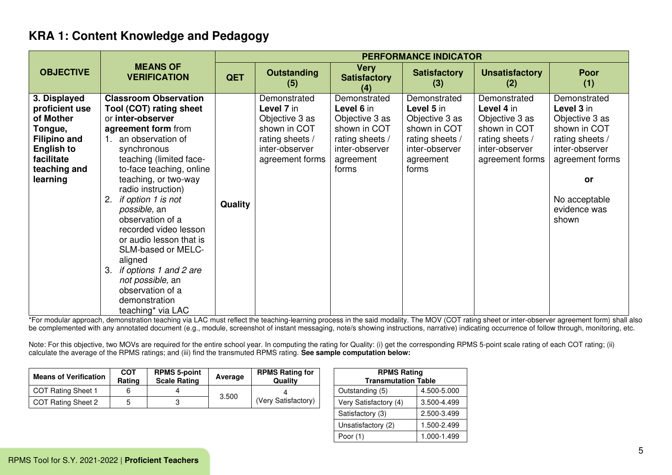|                                                                                                                                              |                                                                                                                                                                                                                                                                                                                                                                                                                                                                                                           |            |                                                                                                                      |                                                                                                                         | <b>PERFORMANCE INDICATOR</b>                                                                                            |                                                                                                                      |                                                                                                                                                                      |
|----------------------------------------------------------------------------------------------------------------------------------------------|-----------------------------------------------------------------------------------------------------------------------------------------------------------------------------------------------------------------------------------------------------------------------------------------------------------------------------------------------------------------------------------------------------------------------------------------------------------------------------------------------------------|------------|----------------------------------------------------------------------------------------------------------------------|-------------------------------------------------------------------------------------------------------------------------|-------------------------------------------------------------------------------------------------------------------------|----------------------------------------------------------------------------------------------------------------------|----------------------------------------------------------------------------------------------------------------------------------------------------------------------|
| <b>OBJECTIVE</b>                                                                                                                             | <b>MEANS OF</b><br><b>VERIFICATION</b>                                                                                                                                                                                                                                                                                                                                                                                                                                                                    | <b>QET</b> | <b>Outstanding</b><br>(5)                                                                                            | <b>Very</b><br><b>Satisfactory</b><br>(4)                                                                               | <b>Satisfactory</b><br>(3)                                                                                              | <b>Unsatisfactory</b><br>(2)                                                                                         | <b>Poor</b><br>(1)                                                                                                                                                   |
| 3. Displayed<br>proficient use<br>of Mother<br>Tongue,<br><b>Filipino and</b><br><b>English to</b><br>facilitate<br>teaching and<br>learning | <b>Classroom Observation</b><br>Tool (COT) rating sheet<br>or inter-observer<br>agreement form from<br>an observation of<br>synchronous<br>teaching (limited face-<br>to-face teaching, online<br>teaching, or two-way<br>radio instruction)<br>2. if option 1 is not<br>possible, an<br>observation of a<br>recorded video lesson<br>or audio lesson that is<br>SLM-based or MELC-<br>aligned<br>3. if options 1 and 2 are<br>not possible, an<br>observation of a<br>demonstration<br>teaching* via LAC | Quality    | Demonstrated<br>Level 7 in<br>Objective 3 as<br>shown in COT<br>rating sheets /<br>inter-observer<br>agreement forms | Demonstrated<br>Level 6 in<br>Objective 3 as<br>shown in COT<br>rating sheets /<br>inter-observer<br>agreement<br>forms | Demonstrated<br>Level 5 in<br>Objective 3 as<br>shown in COT<br>rating sheets /<br>inter-observer<br>agreement<br>forms | Demonstrated<br>Level 4 in<br>Objective 3 as<br>shown in COT<br>rating sheets /<br>inter-observer<br>agreement forms | Demonstrated<br>Level 3 in<br>Objective 3 as<br>shown in COT<br>rating sheets /<br>inter-observer<br>agreement forms<br>or<br>No acceptable<br>evidence was<br>shown |

\*For modular approach, demonstration teaching via LAC must reflect the teaching-learning process in the said modality. The MOV (COT rating sheet or inter-observer agreement form) shall also be complemented with any annotated document (e.g., module, screenshot of instant messaging, note/s showing instructions, narrative) indicating occurrence of follow through, monitoring, etc.

| <b>Means of Verification</b> | <b>COT</b><br>Rating | <b>RPMS 5-point</b><br><b>Scale Rating</b> | Average | <b>RPMS Rating for</b><br>Quality | <b>RPMS Rating</b><br><b>Transmutation Table</b> |             |
|------------------------------|----------------------|--------------------------------------------|---------|-----------------------------------|--------------------------------------------------|-------------|
| COT Rating Sheet 1           |                      |                                            |         |                                   | Outstanding (5)                                  | 4.500-5.000 |
| COT Rating Sheet 2           |                      |                                            | 3.500   | (Very Satisfactory)               | Very Satisfactory (4)                            | 3.500-4.499 |

| <b>RPMS Rating</b><br><b>Transmutation Table</b> |             |  |  |  |  |  |
|--------------------------------------------------|-------------|--|--|--|--|--|
| Outstanding (5)                                  | 4.500-5.000 |  |  |  |  |  |
| Very Satisfactory (4)                            | 3.500-4.499 |  |  |  |  |  |
| Satisfactory (3)                                 | 2.500-3.499 |  |  |  |  |  |
| Unsatisfactory (2)                               | 1.500-2.499 |  |  |  |  |  |
| Poor (1)                                         | 1.000-1.499 |  |  |  |  |  |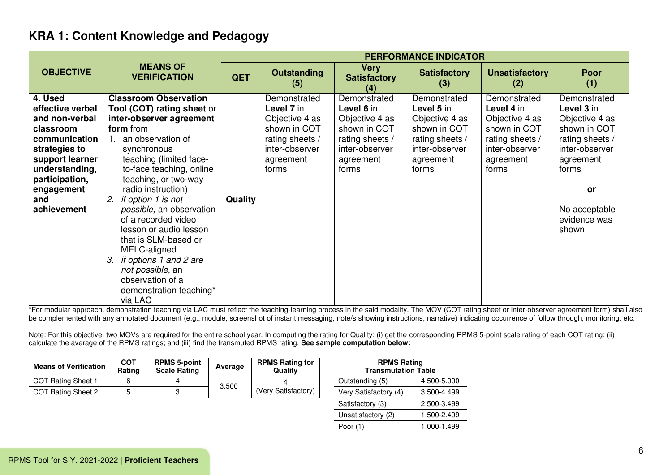|                                                                                                                                                                                         |                                                                                                                                                                                                                                                                                                                                                                                                                                                                                                                               |                |                                                                                                                         |                                                                                                                         | <b>PERFORMANCE INDICATOR</b>                                                                                            |                                                                                                                         |                                                                                                                                                                         |
|-----------------------------------------------------------------------------------------------------------------------------------------------------------------------------------------|-------------------------------------------------------------------------------------------------------------------------------------------------------------------------------------------------------------------------------------------------------------------------------------------------------------------------------------------------------------------------------------------------------------------------------------------------------------------------------------------------------------------------------|----------------|-------------------------------------------------------------------------------------------------------------------------|-------------------------------------------------------------------------------------------------------------------------|-------------------------------------------------------------------------------------------------------------------------|-------------------------------------------------------------------------------------------------------------------------|-------------------------------------------------------------------------------------------------------------------------------------------------------------------------|
| <b>OBJECTIVE</b>                                                                                                                                                                        | <b>MEANS OF</b><br><b>VERIFICATION</b>                                                                                                                                                                                                                                                                                                                                                                                                                                                                                        | <b>QET</b>     | <b>Outstanding</b><br>(5)                                                                                               | <b>Very</b><br><b>Satisfactory</b><br>(4)                                                                               | <b>Satisfactory</b><br>(3)                                                                                              | <b>Unsatisfactory</b><br>(2)                                                                                            | <b>Poor</b><br>(1)                                                                                                                                                      |
| 4. Used<br>effective verbal<br>and non-verbal<br>classroom<br>communication<br>strategies to<br>support learner<br>understanding,<br>participation,<br>engagement<br>and<br>achievement | <b>Classroom Observation</b><br>Tool (COT) rating sheet or<br>inter-observer agreement<br>form from<br>an observation of<br>$\mathbf{1}$ .<br>synchronous<br>teaching (limited face-<br>to-face teaching, online<br>teaching, or two-way<br>radio instruction)<br>if option 1 is not<br>2.<br>possible, an observation<br>of a recorded video<br>lesson or audio lesson<br>that is SLM-based or<br>MELC-aligned<br>if options 1 and 2 are<br>3.<br>not possible, an<br>observation of a<br>demonstration teaching*<br>via LAC | <b>Quality</b> | Demonstrated<br>Level 7 in<br>Objective 4 as<br>shown in COT<br>rating sheets /<br>inter-observer<br>agreement<br>forms | Demonstrated<br>Level 6 in<br>Objective 4 as<br>shown in COT<br>rating sheets /<br>inter-observer<br>agreement<br>forms | Demonstrated<br>Level 5 in<br>Objective 4 as<br>shown in COT<br>rating sheets /<br>inter-observer<br>agreement<br>forms | Demonstrated<br>Level 4 in<br>Objective 4 as<br>shown in COT<br>rating sheets /<br>inter-observer<br>agreement<br>forms | Demonstrated<br>Level 3 in<br>Objective 4 as<br>shown in COT<br>rating sheets /<br>inter-observer<br>agreement<br>forms<br>or<br>No acceptable<br>evidence was<br>shown |

\*For modular approach, demonstration teaching via LAC must reflect the teaching-learning process in the said modality. The MOV (COT rating sheet or inter-observer agreement form) shall also be complemented with any annotated document (e.g., module, screenshot of instant messaging, note/s showing instructions, narrative) indicating occurrence of follow through, monitoring, etc.

| <b>Means of Verification</b> | COT<br>Rating | <b>RPMS 5-point</b><br><b>Scale Rating</b> | Average | <b>RPMS Rating for</b><br>Qualitv | <b>RPMS Rating</b><br><b>Transmutation Table</b> |             |
|------------------------------|---------------|--------------------------------------------|---------|-----------------------------------|--------------------------------------------------|-------------|
| COT Rating Sheet 1           |               |                                            |         |                                   | Outstanding (5)                                  | 4.500-5.000 |
| COT Rating Sheet 2           |               |                                            | 3.500   | (Very Satisfactory)               | Very Satisfactory (4)                            | 3.500-4.499 |

| <b>RPMS Rating</b>         |             |  |  |  |  |  |
|----------------------------|-------------|--|--|--|--|--|
| <b>Transmutation Table</b> |             |  |  |  |  |  |
| Outstanding (5)            | 4.500-5.000 |  |  |  |  |  |
| Very Satisfactory (4)      | 3.500-4.499 |  |  |  |  |  |
| Satisfactory (3)           | 2.500-3.499 |  |  |  |  |  |
| Unsatisfactory (2)         | 1.500-2.499 |  |  |  |  |  |
| Poor $(1)$                 | 1.000-1.499 |  |  |  |  |  |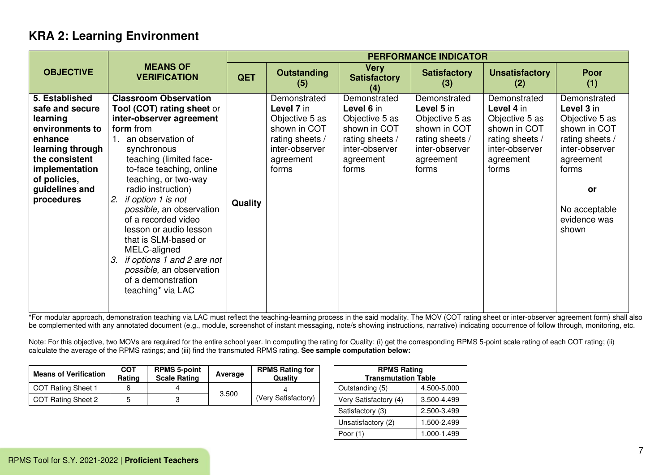|                                                                                                                                                                                     |                                                                                                                                                                                                                                                                                                                                                                                                                                                                                                             | <b>PERFORMANCE INDICATOR</b> |                                                                                                                         |                                                                                                                         |                                                                                                                         |                                                                                                                         |                                                                                                                                                                                |  |  |  |
|-------------------------------------------------------------------------------------------------------------------------------------------------------------------------------------|-------------------------------------------------------------------------------------------------------------------------------------------------------------------------------------------------------------------------------------------------------------------------------------------------------------------------------------------------------------------------------------------------------------------------------------------------------------------------------------------------------------|------------------------------|-------------------------------------------------------------------------------------------------------------------------|-------------------------------------------------------------------------------------------------------------------------|-------------------------------------------------------------------------------------------------------------------------|-------------------------------------------------------------------------------------------------------------------------|--------------------------------------------------------------------------------------------------------------------------------------------------------------------------------|--|--|--|
| <b>OBJECTIVE</b>                                                                                                                                                                    | <b>MEANS OF</b><br><b>VERIFICATION</b>                                                                                                                                                                                                                                                                                                                                                                                                                                                                      | <b>QET</b>                   | <b>Outstanding</b><br>(5)                                                                                               | <b>Very</b><br><b>Satisfactory</b><br>(4)                                                                               | <b>Satisfactory</b><br>(3)                                                                                              | <b>Unsatisfactory</b><br>(2)                                                                                            | <b>Poor</b><br>(1)                                                                                                                                                             |  |  |  |
| 5. Established<br>safe and secure<br>learning<br>environments to<br>enhance<br>learning through<br>the consistent<br>implementation<br>of policies,<br>guidelines and<br>procedures | <b>Classroom Observation</b><br>Tool (COT) rating sheet or<br>inter-observer agreement<br>form from<br>1. an observation of<br>synchronous<br>teaching (limited face-<br>to-face teaching, online<br>teaching, or two-way<br>radio instruction)<br>if option 1 is not<br>2.<br>possible, an observation<br>of a recorded video<br>lesson or audio lesson<br>that is SLM-based or<br>MELC-aligned<br>if options 1 and 2 are not<br>3.<br>possible, an observation<br>of a demonstration<br>teaching* via LAC | <b>Quality</b>               | Demonstrated<br>Level 7 in<br>Objective 5 as<br>shown in COT<br>rating sheets /<br>inter-observer<br>agreement<br>forms | Demonstrated<br>Level 6 in<br>Objective 5 as<br>shown in COT<br>rating sheets /<br>inter-observer<br>agreement<br>forms | Demonstrated<br>Level 5 in<br>Objective 5 as<br>shown in COT<br>rating sheets /<br>inter-observer<br>agreement<br>forms | Demonstrated<br>Level 4 in<br>Objective 5 as<br>shown in COT<br>rating sheets /<br>inter-observer<br>agreement<br>forms | Demonstrated<br>Level 3 in<br>Objective 5 as<br>shown in COT<br>rating sheets /<br>inter-observer<br>agreement<br>forms<br><b>or</b><br>No acceptable<br>evidence was<br>shown |  |  |  |

\*For modular approach, demonstration teaching via LAC must reflect the teaching-learning process in the said modality. The MOV (COT rating sheet or inter-observer agreement form) shall also be complemented with any annotated document (e.g., module, screenshot of instant messaging, note/s showing instructions, narrative) indicating occurrence of follow through, monitoring, etc.

| <b>Means of Verification</b> | COT<br>Rating | <b>RPMS 5-point</b><br><b>RPMS Rating for</b><br>Average<br>Qualitv<br><b>Scale Rating</b> |       | <b>RPMS Rating</b><br><b>Transmutation Table</b> |                       |             |
|------------------------------|---------------|--------------------------------------------------------------------------------------------|-------|--------------------------------------------------|-----------------------|-------------|
| <b>COT Rating Sheet 1</b>    |               |                                                                                            |       |                                                  | Outstanding (5)       | 4.500-5.000 |
| COT Rating Sheet 2           |               |                                                                                            | 3.500 | (Very Satisfactory)                              | Very Satisfactory (4) | 3.500-4.499 |

| <b>RPMS Rating</b><br><b>Transmutation Table</b> |             |  |  |  |  |
|--------------------------------------------------|-------------|--|--|--|--|
| Outstanding (5)                                  | 4.500-5.000 |  |  |  |  |
| Very Satisfactory (4)                            | 3.500-4.499 |  |  |  |  |
| Satisfactory (3)                                 | 2.500-3.499 |  |  |  |  |
| Unsatisfactory (2)                               | 1.500-2.499 |  |  |  |  |
| Poor $(1)$                                       | 1.000-1.499 |  |  |  |  |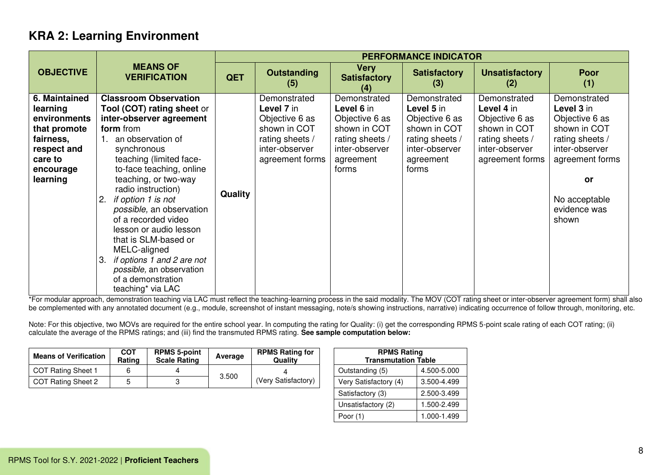|                                                                                                                           |                                                                                                                                                                                                                                                                                                                                                                                                                                                                                                           |                |                                                                                                                      |                                                                                                                         | <b>PERFORMANCE INDICATOR</b>                                                                                            |                                                                                                                      |                                                                                                                                                                             |
|---------------------------------------------------------------------------------------------------------------------------|-----------------------------------------------------------------------------------------------------------------------------------------------------------------------------------------------------------------------------------------------------------------------------------------------------------------------------------------------------------------------------------------------------------------------------------------------------------------------------------------------------------|----------------|----------------------------------------------------------------------------------------------------------------------|-------------------------------------------------------------------------------------------------------------------------|-------------------------------------------------------------------------------------------------------------------------|----------------------------------------------------------------------------------------------------------------------|-----------------------------------------------------------------------------------------------------------------------------------------------------------------------------|
| <b>OBJECTIVE</b>                                                                                                          | <b>MEANS OF</b><br><b>VERIFICATION</b>                                                                                                                                                                                                                                                                                                                                                                                                                                                                    | <b>QET</b>     | <b>Outstanding</b><br>(5)                                                                                            | <b>Very</b><br><b>Satisfactory</b><br>(4)                                                                               | <b>Satisfactory</b><br>(3)                                                                                              | <b>Unsatisfactory</b><br>(2)                                                                                         | <b>Poor</b><br>(1)                                                                                                                                                          |
| 6. Maintained<br>learning<br>environments<br>that promote<br>fairness,<br>respect and<br>care to<br>encourage<br>learning | <b>Classroom Observation</b><br><b>Tool (COT) rating sheet or</b><br>inter-observer agreement<br>form from<br>an observation of<br>synchronous<br>teaching (limited face-<br>to-face teaching, online<br>teaching, or two-way<br>radio instruction)<br>if option 1 is not<br>possible, an observation<br>of a recorded video<br>lesson or audio lesson<br>that is SLM-based or<br>MELC-aligned<br>if options 1 and 2 are not<br>3.<br>possible, an observation<br>of a demonstration<br>teaching* via LAC | <b>Quality</b> | Demonstrated<br>Level 7 in<br>Objective 6 as<br>shown in COT<br>rating sheets /<br>inter-observer<br>agreement forms | Demonstrated<br>Level 6 in<br>Objective 6 as<br>shown in COT<br>rating sheets /<br>inter-observer<br>agreement<br>forms | Demonstrated<br>Level 5 in<br>Objective 6 as<br>shown in COT<br>rating sheets /<br>inter-observer<br>agreement<br>forms | Demonstrated<br>Level 4 in<br>Objective 6 as<br>shown in COT<br>rating sheets /<br>inter-observer<br>agreement forms | Demonstrated<br>Level 3 in<br>Objective 6 as<br>shown in COT<br>rating sheets /<br>inter-observer<br>agreement forms<br><b>or</b><br>No acceptable<br>evidence was<br>shown |

\*For modular approach, demonstration teaching via LAC must reflect the teaching-learning process in the said modality. The MOV (COT rating sheet or inter-observer agreement form) shall also be complemented with any annotated document (e.g., module, screenshot of instant messaging, note/s showing instructions, narrative) indicating occurrence of follow through, monitoring, etc.

| <b>Means of Verification</b> | COT<br>Rating | <b>RPMS 5-point</b><br><b>Scale Rating</b> | Average | <b>RPMS Rating for</b><br>Qualitv |  | <b>RPMS Rating</b><br><b>Transmutation Table</b> |             |
|------------------------------|---------------|--------------------------------------------|---------|-----------------------------------|--|--------------------------------------------------|-------------|
| <b>COT Rating Sheet 1</b>    |               |                                            | 3.500   |                                   |  | Outstanding (5)                                  | 4.500-5.000 |
| COT Rating Sheet 2           |               |                                            |         | (Very Satisfactory)               |  | Very Satisfactory (4)                            | 3.500-4.499 |

| <b>RPMS Rating</b><br><b>Transmutation Table</b> |             |  |  |  |  |
|--------------------------------------------------|-------------|--|--|--|--|
| Outstanding (5)                                  | 4.500-5.000 |  |  |  |  |
| Very Satisfactory (4)                            | 3.500-4.499 |  |  |  |  |
| Satisfactory (3)                                 | 2.500-3.499 |  |  |  |  |
| Unsatisfactory (2)                               | 1.500-2.499 |  |  |  |  |
| Poor $(1)$                                       | 1.000-1.499 |  |  |  |  |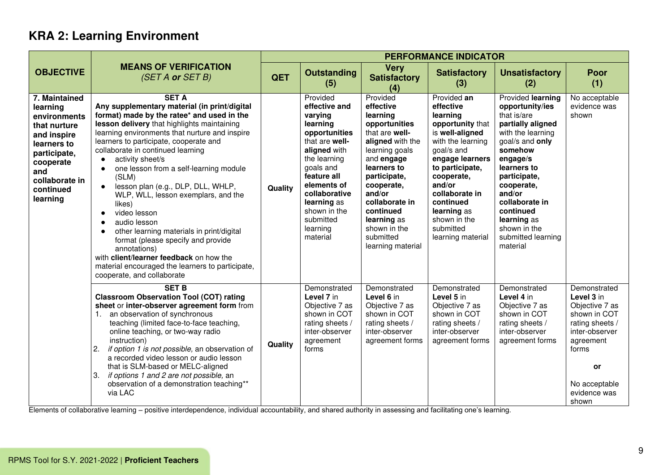|                                                                                                                                                                        |                                                                                                                                                                                                                                                                                                                                                                                                                                                                                                                                                                                                                                                                                                                                                    | <b>PERFORMANCE INDICATOR</b> |                                                                                                                                                                                                                                                     |                                                                                                                                                                                                                                                                                 |                                                                                                                                                                                                                                                                              |                                                                                                                                                                                                                                                                                                |                                                                                                                                                                                |  |  |
|------------------------------------------------------------------------------------------------------------------------------------------------------------------------|----------------------------------------------------------------------------------------------------------------------------------------------------------------------------------------------------------------------------------------------------------------------------------------------------------------------------------------------------------------------------------------------------------------------------------------------------------------------------------------------------------------------------------------------------------------------------------------------------------------------------------------------------------------------------------------------------------------------------------------------------|------------------------------|-----------------------------------------------------------------------------------------------------------------------------------------------------------------------------------------------------------------------------------------------------|---------------------------------------------------------------------------------------------------------------------------------------------------------------------------------------------------------------------------------------------------------------------------------|------------------------------------------------------------------------------------------------------------------------------------------------------------------------------------------------------------------------------------------------------------------------------|------------------------------------------------------------------------------------------------------------------------------------------------------------------------------------------------------------------------------------------------------------------------------------------------|--------------------------------------------------------------------------------------------------------------------------------------------------------------------------------|--|--|
| <b>OBJECTIVE</b>                                                                                                                                                       | <b>MEANS OF VERIFICATION</b><br>(SET A or SET B)                                                                                                                                                                                                                                                                                                                                                                                                                                                                                                                                                                                                                                                                                                   | QET                          | <b>Outstanding</b><br>(5)                                                                                                                                                                                                                           | <b>Very</b><br><b>Satisfactory</b><br>(4)                                                                                                                                                                                                                                       | <b>Satisfactory</b><br>(3)                                                                                                                                                                                                                                                   | <b>Unsatisfactory</b><br>(2)                                                                                                                                                                                                                                                                   | Poor<br>(1)                                                                                                                                                                    |  |  |
| 7. Maintained<br>learning<br>environments<br>that nurture<br>and inspire<br>learners to<br>participate,<br>cooperate<br>and<br>collaborate in<br>continued<br>learning | <b>SET A</b><br>Any supplementary material (in print/digital<br>format) made by the ratee* and used in the<br>lesson delivery that highlights maintaining<br>learning environments that nurture and inspire<br>learners to participate, cooperate and<br>collaborate in continued learning<br>activity sheet/s<br>one lesson from a self-learning module<br>(SLM)<br>lesson plan (e.g., DLP, DLL, WHLP,<br>WLP, WLL, lesson exemplars, and the<br>likes)<br>video lesson<br>$\bullet$<br>audio lesson<br>$\bullet$<br>other learning materials in print/digital<br>format (please specify and provide<br>annotations)<br>with client/learner feedback on how the<br>material encouraged the learners to participate,<br>cooperate, and collaborate | Quality                      | Provided<br>effective and<br>varying<br>learning<br>opportunities<br>that are well-<br>aligned with<br>the learning<br>goals and<br>feature all<br>elements of<br>collaborative<br>learning as<br>shown in the<br>submitted<br>learning<br>material | Provided<br>effective<br>learning<br>opportunities<br>that are well-<br>aligned with the<br>learning goals<br>and engage<br>learners to<br>participate,<br>cooperate,<br>and/or<br>collaborate in<br>continued<br>learning as<br>shown in the<br>submitted<br>learning material | Provided an<br>effective<br>learning<br>opportunity that<br>is well-aligned<br>with the learning<br>goal/s and<br>engage learners<br>to participate,<br>cooperate,<br>and/or<br>collaborate in<br>continued<br>learning as<br>shown in the<br>submitted<br>learning material | Provided learning<br>opportunity/ies<br>that is/are<br>partially aligned<br>with the learning<br>goal/s and only<br>somehow<br>engage/s<br>learners to<br>participate,<br>cooperate,<br>and/or<br>collaborate in<br>continued<br>learning as<br>shown in the<br>submitted learning<br>material | No acceptable<br>evidence was<br>shown                                                                                                                                         |  |  |
|                                                                                                                                                                        | <b>SET B</b><br><b>Classroom Observation Tool (COT) rating</b><br>sheet or inter-observer agreement form from<br>an observation of synchronous<br>$\mathbf{1}$ .<br>teaching (limited face-to-face teaching,<br>online teaching, or two-way radio<br>instruction)<br>if option 1 is not possible, an observation of<br>2.<br>a recorded video lesson or audio lesson<br>that is SLM-based or MELC-aligned<br>if options 1 and 2 are not possible, an<br>3.<br>observation of a demonstration teaching**<br>via LAC                                                                                                                                                                                                                                 | Quality                      | Demonstrated<br>Level 7 in<br>Objective 7 as<br>shown in COT<br>rating sheets /<br>inter-observer<br>agreement<br>forms                                                                                                                             | Demonstrated<br>Level 6 in<br>Objective 7 as<br>shown in COT<br>rating sheets /<br>inter-observer<br>agreement forms                                                                                                                                                            | Demonstrated<br>Level 5 in<br>Objective 7 as<br>shown in COT<br>rating sheets /<br>inter-observer<br>agreement forms                                                                                                                                                         | Demonstrated<br>Level 4 in<br>Objective 7 as<br>shown in COT<br>rating sheets /<br>inter-observer<br>agreement forms                                                                                                                                                                           | Demonstrated<br>Level 3 in<br>Objective 7 as<br>shown in COT<br>rating sheets /<br>inter-observer<br>agreement<br>forms<br><b>or</b><br>No acceptable<br>evidence was<br>shown |  |  |

Elements of collaborative learning – positive interdependence, individual accountability, and shared authority in assessing and facilitating one's learning.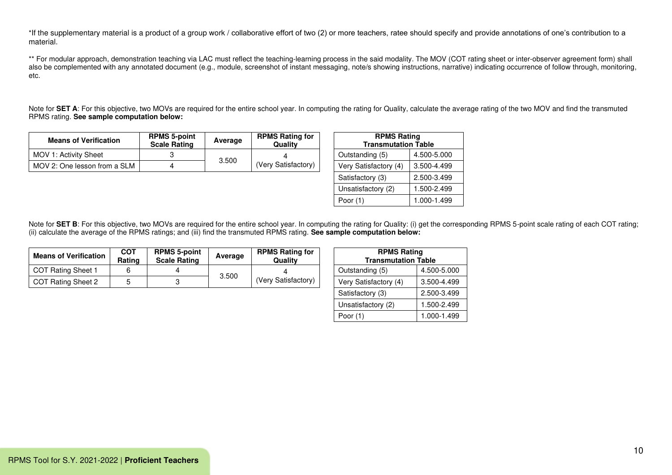\*If the supplementary material is a product of a group work / collaborative effort of two (2) or more teachers, ratee should specify and provide annotations of one's contribution to a material.

\*\* For modular approach, demonstration teaching via LAC must reflect the teaching-learning process in the said modality. The MOV (COT rating sheet or inter-observer agreement form) shall also be complemented with any annotated document (e.g., module, screenshot of instant messaging, note/s showing instructions, narrative) indicating occurrence of follow through, monitoring, etc.

Note for **SET A**: For this objective, two MOVs are required for the entire school year. In computing the rating for Quality, calculate the average rating of the two MOV and find the transmuted RPMS rating. **See sample computation below:**

| <b>Means of Verification</b> | <b>RPMS 5-point</b><br><b>Scale Rating</b> | Average | <b>RPMS Rating for</b><br>Quality | <b>RPMS Rating</b><br><b>Transmutation Table</b> |             |
|------------------------------|--------------------------------------------|---------|-----------------------------------|--------------------------------------------------|-------------|
| MOV 1: Activity Sheet        |                                            |         |                                   | Outstanding (5)                                  | 4.500-5.000 |
| MOV 2: One lesson from a SLM |                                            | 3.500   | (Very Satisfactory)               | Very Satisfactory (4)                            | 3.500-4.499 |

| <b>RPMS Rating</b><br><b>Transmutation Table</b> |             |  |  |  |  |
|--------------------------------------------------|-------------|--|--|--|--|
| Outstanding (5)                                  | 4.500-5.000 |  |  |  |  |
| Very Satisfactory (4)                            | 3.500-4.499 |  |  |  |  |
| Satisfactory (3)                                 | 2.500-3.499 |  |  |  |  |
| Unsatisfactory (2)                               | 1.500-2.499 |  |  |  |  |
| Poor $(1)$                                       | 1.000-1.499 |  |  |  |  |

| <b>Means of Verification</b> | COT<br>Rating | <b>RPMS 5-point</b><br><b>Scale Rating</b> | Average | <b>RPMS Rating for</b><br>Qualitv |  | <b>RPMS Rating</b><br><b>Transmutation Table</b> |             |
|------------------------------|---------------|--------------------------------------------|---------|-----------------------------------|--|--------------------------------------------------|-------------|
| COT Rating Sheet 1           |               |                                            |         |                                   |  | Outstanding (5)                                  | 4.500-5.000 |
| COT Rating Sheet 2           |               |                                            | 3.500   | (Very Satisfactory)               |  | Very Satisfactory (4)                            | 3.500-4.499 |

| <b>RPMS Rating</b><br><b>Transmutation Table</b> |             |  |  |  |  |  |
|--------------------------------------------------|-------------|--|--|--|--|--|
| Outstanding (5)                                  | 4.500-5.000 |  |  |  |  |  |
| Very Satisfactory (4)                            | 3.500-4.499 |  |  |  |  |  |
| Satisfactory (3)                                 | 2.500-3.499 |  |  |  |  |  |
| Unsatisfactory (2)                               | 1.500-2.499 |  |  |  |  |  |
| Poor (1)                                         | 1.000-1.499 |  |  |  |  |  |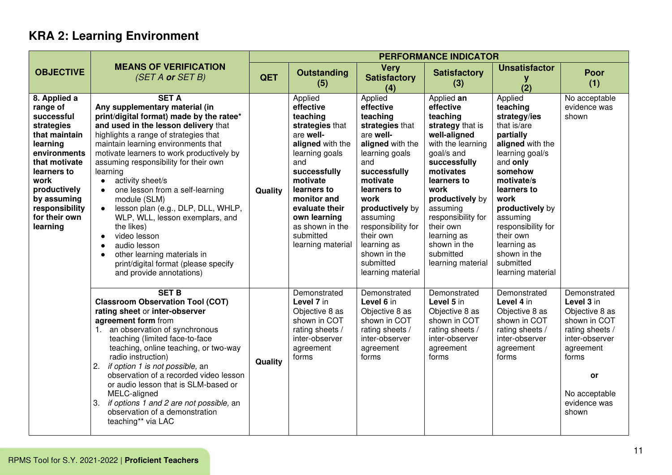|                                                                                                                                                                                                                         |                                                                                                                                                                                                                                                                                                                                                                                                                                                                                                                                                                                                                                                                                        | <b>PERFORMANCE INDICATOR</b> |                                                                                                                                                                                                                                                                |                                                                                                                                                                                                                                                                                                     |                                                                                                                                                                                                                                                                                                   |                                                                                                                                                                                                                                                                                                       |                                                                                                                                                                                |
|-------------------------------------------------------------------------------------------------------------------------------------------------------------------------------------------------------------------------|----------------------------------------------------------------------------------------------------------------------------------------------------------------------------------------------------------------------------------------------------------------------------------------------------------------------------------------------------------------------------------------------------------------------------------------------------------------------------------------------------------------------------------------------------------------------------------------------------------------------------------------------------------------------------------------|------------------------------|----------------------------------------------------------------------------------------------------------------------------------------------------------------------------------------------------------------------------------------------------------------|-----------------------------------------------------------------------------------------------------------------------------------------------------------------------------------------------------------------------------------------------------------------------------------------------------|---------------------------------------------------------------------------------------------------------------------------------------------------------------------------------------------------------------------------------------------------------------------------------------------------|-------------------------------------------------------------------------------------------------------------------------------------------------------------------------------------------------------------------------------------------------------------------------------------------------------|--------------------------------------------------------------------------------------------------------------------------------------------------------------------------------|
| <b>OBJECTIVE</b>                                                                                                                                                                                                        | <b>MEANS OF VERIFICATION</b><br>(SET A or SET B)                                                                                                                                                                                                                                                                                                                                                                                                                                                                                                                                                                                                                                       | <b>QET</b>                   | <b>Outstanding</b><br>(5)                                                                                                                                                                                                                                      | <b>Very</b><br><b>Satisfactory</b><br>(4)                                                                                                                                                                                                                                                           | <b>Satisfactory</b><br>(3)                                                                                                                                                                                                                                                                        | <b>Unsatisfactor</b><br>y<br>(2)                                                                                                                                                                                                                                                                      | Poor<br>(1)                                                                                                                                                                    |
| 8. Applied a<br>range of<br>successful<br>strategies<br>that maintain<br>learning<br>environments<br>that motivate<br>learners to<br>work<br>productively<br>by assuming<br>responsibility<br>for their own<br>learning | <b>SET A</b><br>Any supplementary material (in<br>print/digital format) made by the ratee*<br>and used in the lesson delivery that<br>highlights a range of strategies that<br>maintain learning environments that<br>motivate learners to work productively by<br>assuming responsibility for their own<br>learning<br>activity sheet/s<br>$\bullet$<br>one lesson from a self-learning<br>module (SLM)<br>lesson plan (e.g., DLP, DLL, WHLP,<br>$\bullet$<br>WLP, WLL, lesson exemplars, and<br>the likes)<br>video lesson<br>$\bullet$<br>audio lesson<br>$\bullet$<br>other learning materials in<br>$\bullet$<br>print/digital format (please specify<br>and provide annotations) | Quality                      | Applied<br>effective<br>teaching<br>strategies that<br>are well-<br>aligned with the<br>learning goals<br>and<br>successfully<br>motivate<br>learners to<br>monitor and<br>evaluate their<br>own learning<br>as shown in the<br>submitted<br>learning material | Applied<br>effective<br>teaching<br>strategies that<br>are well-<br>aligned with the<br>learning goals<br>and<br>successfully<br>motivate<br>learners to<br>work<br>productively by<br>assuming<br>responsibility for<br>their own<br>learning as<br>shown in the<br>submitted<br>learning material | Applied an<br>effective<br>teaching<br>strategy that is<br>well-aligned<br>with the learning<br>goal/s and<br>successfully<br>motivates<br>learners to<br>work<br>productively by<br>assuming<br>responsibility for<br>their own<br>learning as<br>shown in the<br>submitted<br>learning material | Applied<br>teaching<br>strategy/ies<br>that is/are<br>partially<br>aligned with the<br>learning goal/s<br>and only<br>somehow<br>motivate/s<br>learners to<br>work<br>productively by<br>assuming<br>responsibility for<br>their own<br>learning as<br>shown in the<br>submitted<br>learning material | No acceptable<br>evidence was<br>shown                                                                                                                                         |
|                                                                                                                                                                                                                         | <b>SET B</b><br><b>Classroom Observation Tool (COT)</b><br>rating sheet or inter-observer<br>agreement form from<br>1. an observation of synchronous<br>teaching (limited face-to-face<br>teaching, online teaching, or two-way<br>radio instruction)<br>if option 1 is not possible, an<br>2.<br>observation of a recorded video lesson<br>or audio lesson that is SLM-based or<br>MELC-aligned<br>if options 1 and 2 are not possible, an<br>3.<br>observation of a demonstration<br>teaching** via LAC                                                                                                                                                                              | Quality                      | Demonstrated<br>Level 7 in<br>Objective 8 as<br>shown in COT<br>rating sheets /<br>inter-observer<br>agreement<br>forms                                                                                                                                        | Demonstrated<br>Level 6 in<br>Objective 8 as<br>shown in COT<br>rating sheets /<br>inter-observer<br>agreement<br>forms                                                                                                                                                                             | Demonstrated<br>Level 5 in<br>Objective 8 as<br>shown in COT<br>rating sheets /<br>inter-observer<br>agreement<br>forms                                                                                                                                                                           | Demonstrated<br>Level 4 in<br>Objective 8 as<br>shown in COT<br>rating sheets /<br>inter-observer<br>agreement<br>forms                                                                                                                                                                               | Demonstrated<br>Level 3 in<br>Objective 8 as<br>shown in COT<br>rating sheets /<br>inter-observer<br>agreement<br>forms<br><b>or</b><br>No acceptable<br>evidence was<br>shown |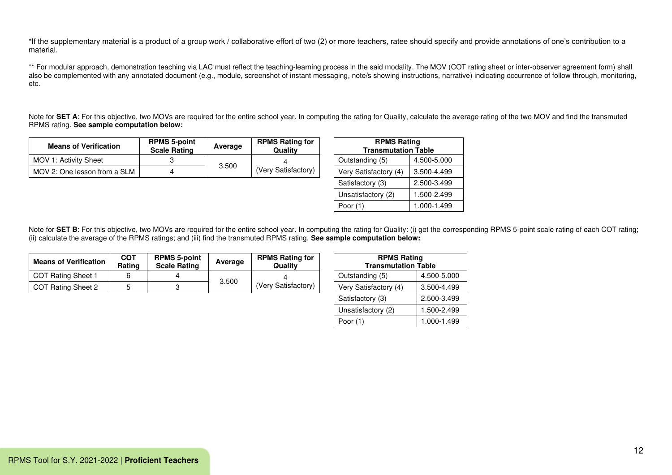\*If the supplementary material is a product of a group work / collaborative effort of two (2) or more teachers, ratee should specify and provide annotations of one's contribution to a material.

\*\* For modular approach, demonstration teaching via LAC must reflect the teaching-learning process in the said modality. The MOV (COT rating sheet or inter-observer agreement form) shall also be complemented with any annotated document (e.g., module, screenshot of instant messaging, note/s showing instructions, narrative) indicating occurrence of follow through, monitoring, etc.

Note for SET A: For this objective, two MOVs are required for the entire school year. In computing the rating for Quality, calculate the average rating of the two MOV and find the transmuted RPMS rating. **See sample computation below:**

| <b>Means of Verification</b> | <b>RPMS 5-point</b><br><b>Scale Rating</b> | Average | <b>RPMS Rating for</b><br>Quality | <b>RPMS Rating</b><br><b>Transmutation Table</b> |             |
|------------------------------|--------------------------------------------|---------|-----------------------------------|--------------------------------------------------|-------------|
| MOV 1: Activity Sheet        |                                            |         |                                   | Outstanding (5)                                  | 4.500-5.000 |
| MOV 2: One lesson from a SLM |                                            | 3.500   | (Very Satisfactory)               | Very Satisfactory (4)                            | 3.500-4.499 |

| <b>RPMS Rating</b>         |             |  |  |  |  |  |
|----------------------------|-------------|--|--|--|--|--|
| <b>Transmutation Table</b> |             |  |  |  |  |  |
| Outstanding (5)            | 4.500-5.000 |  |  |  |  |  |
| Very Satisfactory (4)      | 3.500-4.499 |  |  |  |  |  |
| Satisfactory (3)           | 2.500-3.499 |  |  |  |  |  |
| Unsatisfactory (2)         | 1.500-2.499 |  |  |  |  |  |
| Poor $(1)$                 | 1.000-1.499 |  |  |  |  |  |

| <b>Means of Verification</b> | <b>COT</b><br>Rating | <b>RPMS 5-point</b><br><b>Scale Rating</b> | Average | <b>RPMS Rating for</b><br>Qualitv | <b>RPMS Rating</b><br><b>Transmutation Table</b> |             |
|------------------------------|----------------------|--------------------------------------------|---------|-----------------------------------|--------------------------------------------------|-------------|
| COT Rating Sheet 1           |                      |                                            | 3.500   |                                   | Outstanding (5)                                  | 4.500-5.000 |
| COT Rating Sheet 2           |                      |                                            |         | (Very Satisfactory)               | Very Satisfactory (4)                            | 3.500-4.499 |

| <b>RPMS Rating</b>         |             |  |  |  |  |  |
|----------------------------|-------------|--|--|--|--|--|
| <b>Transmutation Table</b> |             |  |  |  |  |  |
| Outstanding (5)            | 4.500-5.000 |  |  |  |  |  |
| Very Satisfactory (4)      | 3.500-4.499 |  |  |  |  |  |
| Satisfactory (3)           | 2.500-3.499 |  |  |  |  |  |
| Unsatisfactory (2)         | 1.500-2.499 |  |  |  |  |  |
| Poor (1)                   | 1.000-1.499 |  |  |  |  |  |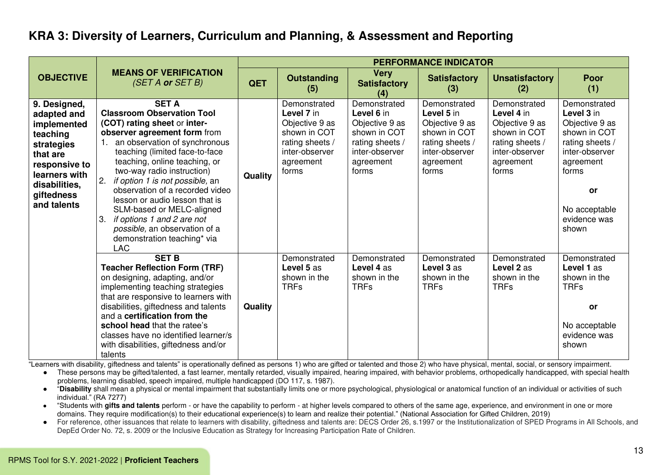#### **KRA 3: Diversity of Learners, Curriculum and Planning, & Assessment and Reporting**

|                                                                                                                                                                  |                                                                                                                                                                                                                                                                                                                                                                                                                                                                                                                        |         |                                                                                                                         |                                                                                                                         | <b>PERFORMANCE INDICATOR</b>                                                                                            |                                                                                                                         |                                                                                                                                                                                |
|------------------------------------------------------------------------------------------------------------------------------------------------------------------|------------------------------------------------------------------------------------------------------------------------------------------------------------------------------------------------------------------------------------------------------------------------------------------------------------------------------------------------------------------------------------------------------------------------------------------------------------------------------------------------------------------------|---------|-------------------------------------------------------------------------------------------------------------------------|-------------------------------------------------------------------------------------------------------------------------|-------------------------------------------------------------------------------------------------------------------------|-------------------------------------------------------------------------------------------------------------------------|--------------------------------------------------------------------------------------------------------------------------------------------------------------------------------|
| <b>OBJECTIVE</b>                                                                                                                                                 | <b>MEANS OF VERIFICATION</b><br>(SET A or SET B)                                                                                                                                                                                                                                                                                                                                                                                                                                                                       | QET     | <b>Outstanding</b><br>(5)                                                                                               | <b>Very</b><br><b>Satisfactory</b><br>(4)                                                                               | <b>Satisfactory</b><br>(3)                                                                                              | <b>Unsatisfactory</b><br>(2)                                                                                            | <b>Poor</b><br>(1)                                                                                                                                                             |
| 9. Designed,<br>adapted and<br>implemented<br>teaching<br>strategies<br>that are<br>responsive to<br>learners with<br>disabilities,<br>giftedness<br>and talents | <b>SET A</b><br><b>Classroom Observation Tool</b><br>(COT) rating sheet or inter-<br>observer agreement form from<br>an observation of synchronous<br>1.<br>teaching (limited face-to-face<br>teaching, online teaching, or<br>two-way radio instruction)<br>2.<br>if option 1 is not possible, an<br>observation of a recorded video<br>lesson or audio lesson that is<br>SLM-based or MELC-aligned<br>if options 1 and 2 are not<br>3.<br>possible, an observation of a<br>demonstration teaching* via<br><b>LAC</b> | Quality | Demonstrated<br>Level 7 in<br>Objective 9 as<br>shown in COT<br>rating sheets /<br>inter-observer<br>agreement<br>forms | Demonstrated<br>Level 6 in<br>Objective 9 as<br>shown in COT<br>rating sheets /<br>inter-observer<br>agreement<br>forms | Demonstrated<br>Level 5 in<br>Objective 9 as<br>shown in COT<br>rating sheets /<br>inter-observer<br>agreement<br>forms | Demonstrated<br>Level 4 in<br>Objective 9 as<br>shown in COT<br>rating sheets /<br>inter-observer<br>agreement<br>forms | Demonstrated<br>Level 3 in<br>Objective 9 as<br>shown in COT<br>rating sheets /<br>inter-observer<br>agreement<br>forms<br><b>or</b><br>No acceptable<br>evidence was<br>shown |
|                                                                                                                                                                  | <b>SET B</b><br><b>Teacher Reflection Form (TRF)</b><br>on designing, adapting, and/or<br>implementing teaching strategies<br>that are responsive to learners with<br>disabilities, giftedness and talents<br>and a certification from the<br>school head that the ratee's<br>classes have no identified learner/s<br>with disabilities, giftedness and/or<br>talents                                                                                                                                                  | Quality | Demonstrated<br>Level 5 as<br>shown in the<br><b>TRFs</b>                                                               | Demonstrated<br>Level 4 as<br>shown in the<br><b>TRFs</b>                                                               | Demonstrated<br>Level 3 as<br>shown in the<br><b>TRFs</b>                                                               | Demonstrated<br>Level 2 as<br>shown in the<br><b>TRFs</b>                                                               | Demonstrated<br>Level 1 as<br>shown in the<br><b>TRFs</b><br><b>or</b><br>No acceptable<br>evidence was<br>shown                                                               |

"Learners with disability, giftedness and talents" is operationally defined as persons 1) who are gifted or talented and those 2) who have physical, mental, social, or sensory impairment.

● These persons may be gifted/talented, a fast learner, mentally retarded, visually impaired, hearing impaired, with behavior problems, orthopedically handicapped, with special health problems, learning disabled, speech impaired, multiple handicapped (DO 117, s. 1987).

● "**Disability** shall mean a physical or mental impairment that substantially limits one or more psychological, physiological or anatomical function of an individual or activities of such individual." (RA 7277)

● "Students with **gifts and talents** perform - or have the capability to perform - at higher levels compared to others of the same age, experience, and environment in one or more domains. They require modification(s) to their educational experience(s) to learn and realize their potential." (National Association for Gifted Children, 2019)

For reference, other issuances that relate to learners with disability, giftedness and talents are: DECS Order 26, s.1997 or the Institutionalization of SPED Programs in All Schools, and DepEd Order No. 72, s. 2009 or the Inclusive Education as Strategy for Increasing Participation Rate of Children.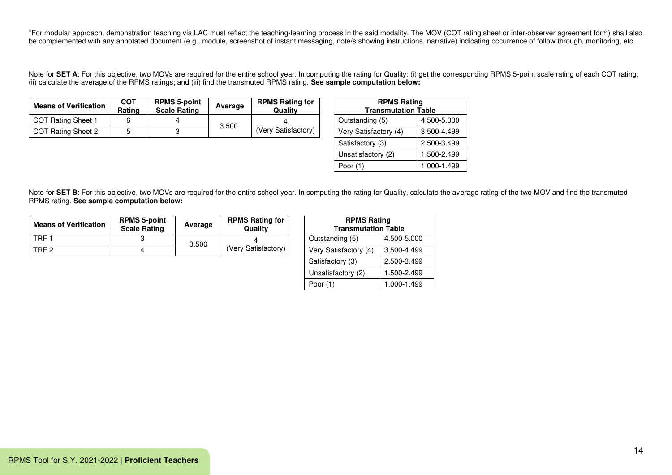\*For modular approach, demonstration teaching via LAC must reflect the teaching-learning process in the said modality. The MOV (COT rating sheet or inter-observer agreement form) shall also be complemented with any annotated document (e.g., module, screenshot of instant messaging, note/s showing instructions, narrative) indicating occurrence of follow through, monitoring, etc.

Note for SET A: For this objective, two MOVs are required for the entire school year. In computing the rating for Quality: (i) get the corresponding RPMS 5-point scale rating of each COT rating; (ii) calculate the average of the RPMS ratings; and (iii) find the transmuted RPMS rating. **See sample computation below:**

| <b>Means of Verification</b> | <b>COT</b><br>Rating | <b>RPMS 5-point</b><br><b>Scale Rating</b> | Average | <b>RPMS Rating for</b><br>Qualitv | <b>RPMS Rating</b><br><b>Transmutation Table</b> |             |
|------------------------------|----------------------|--------------------------------------------|---------|-----------------------------------|--------------------------------------------------|-------------|
| COT Rating Sheet 1           |                      |                                            |         |                                   | Outstanding (5)                                  | 4.500-5.000 |
| COT Rating Sheet 2           |                      |                                            | 3.500   | (Very Satisfactory)               | Very Satisfactory (4)                            | 3.500-4.499 |

| <b>RPMS Rating</b><br><b>Transmutation Table</b> |             |  |  |  |  |  |
|--------------------------------------------------|-------------|--|--|--|--|--|
| Outstanding (5)                                  | 4.500-5.000 |  |  |  |  |  |
| Very Satisfactory (4)                            | 3.500-4.499 |  |  |  |  |  |
| Satisfactory (3)                                 | 2.500-3.499 |  |  |  |  |  |
| Unsatisfactory (2)                               | 1.500-2.499 |  |  |  |  |  |
| Poor (1)                                         | 1.000-1.499 |  |  |  |  |  |

Note for SET B: For this objective, two MOVs are required for the entire school year. In computing the rating for Quality, calculate the average rating of the two MOV and find the transmuted RPMS rating. **See sample computation below:**

| <b>Means of Verification</b> | <b>RPMS 5-point</b><br><b>Scale Rating</b> | Average | <b>RPMS Rating for</b><br>Quality | <b>RPMS Rating</b><br><b>Transmutation Table</b> |             |
|------------------------------|--------------------------------------------|---------|-----------------------------------|--------------------------------------------------|-------------|
| TRF :                        |                                            | 3.500   |                                   | Outstanding (5)                                  | 4.500-5.000 |
| TRF <sub>2</sub>             |                                            |         | (Very Satisfactory)               | Very Satisfactory (4)                            | 3.500-4.499 |

| <b>RPMS Rating</b><br><b>Transmutation Table</b> |             |  |  |  |  |  |
|--------------------------------------------------|-------------|--|--|--|--|--|
| Outstanding (5)                                  | 4.500-5.000 |  |  |  |  |  |
| Very Satisfactory (4)                            | 3.500-4.499 |  |  |  |  |  |
| Satisfactory (3)                                 | 2.500-3.499 |  |  |  |  |  |
| Unsatisfactory (2)                               | 1.500-2.499 |  |  |  |  |  |
| Poor (1)                                         | 1.000-1.499 |  |  |  |  |  |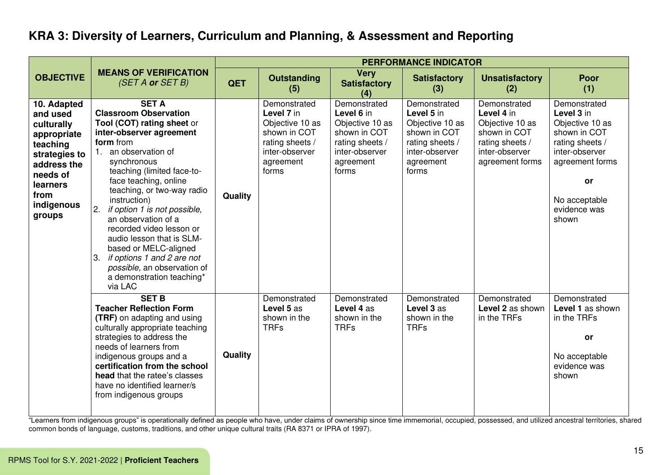## **KRA 3: Diversity of Learners, Curriculum and Planning, & Assessment and Reporting**

|                                                                                                                                                          |                                                                                                                                                                                                                                                                                                                                                                                                                                                                                                                        |            |                                                                                                                          |                                                                                                                          | <b>PERFORMANCE INDICATOR</b>                                                                                             |                                                                                                                       |                                                                                                                                                                       |
|----------------------------------------------------------------------------------------------------------------------------------------------------------|------------------------------------------------------------------------------------------------------------------------------------------------------------------------------------------------------------------------------------------------------------------------------------------------------------------------------------------------------------------------------------------------------------------------------------------------------------------------------------------------------------------------|------------|--------------------------------------------------------------------------------------------------------------------------|--------------------------------------------------------------------------------------------------------------------------|--------------------------------------------------------------------------------------------------------------------------|-----------------------------------------------------------------------------------------------------------------------|-----------------------------------------------------------------------------------------------------------------------------------------------------------------------|
| <b>OBJECTIVE</b>                                                                                                                                         | <b>MEANS OF VERIFICATION</b><br>(SET A or SET B)                                                                                                                                                                                                                                                                                                                                                                                                                                                                       | <b>QET</b> | <b>Outstanding</b><br>(5)                                                                                                | <b>Very</b><br><b>Satisfactory</b><br>(4)                                                                                | <b>Satisfactory</b><br>(3)                                                                                               | <b>Unsatisfactory</b><br>(2)                                                                                          | <b>Poor</b><br>(1)                                                                                                                                                    |
| 10. Adapted<br>and used<br>culturally<br>appropriate<br>teaching<br>strategies to<br>address the<br>needs of<br>learners<br>from<br>indigenous<br>groups | <b>SET A</b><br><b>Classroom Observation</b><br>Tool (COT) rating sheet or<br>inter-observer agreement<br>form from<br>an observation of<br>synchronous<br>teaching (limited face-to-<br>face teaching, online<br>teaching, or two-way radio<br>instruction)<br>if option 1 is not possible,<br>2.<br>an observation of a<br>recorded video lesson or<br>audio lesson that is SLM-<br>based or MELC-aligned<br>3.<br>if options 1 and 2 are not<br>possible, an observation of<br>a demonstration teaching*<br>via LAC | Quality    | Demonstrated<br>Level 7 in<br>Objective 10 as<br>shown in COT<br>rating sheets /<br>inter-observer<br>agreement<br>forms | Demonstrated<br>Level 6 in<br>Objective 10 as<br>shown in COT<br>rating sheets /<br>inter-observer<br>agreement<br>forms | Demonstrated<br>Level 5 in<br>Objective 10 as<br>shown in COT<br>rating sheets /<br>inter-observer<br>agreement<br>forms | Demonstrated<br>Level 4 in<br>Objective 10 as<br>shown in COT<br>rating sheets /<br>inter-observer<br>agreement forms | Demonstrated<br>Level 3 in<br>Objective 10 as<br>shown in COT<br>rating sheets /<br>inter-observer<br>agreement forms<br>or<br>No acceptable<br>evidence was<br>shown |
|                                                                                                                                                          | <b>SET B</b><br><b>Teacher Reflection Form</b><br><b>(TRF)</b> on adapting and using<br>culturally appropriate teaching<br>strategies to address the<br>needs of learners from<br>indigenous groups and a<br>certification from the school<br>head that the ratee's classes<br>have no identified learner/s<br>from indigenous groups                                                                                                                                                                                  | Quality    | Demonstrated<br>Level 5 as<br>shown in the<br><b>TRFs</b>                                                                | Demonstrated<br>Level 4 as<br>shown in the<br><b>TRFs</b>                                                                | Demonstrated<br>Level 3 as<br>shown in the<br><b>TRFs</b>                                                                | Demonstrated<br>Level 2 as shown<br>in the TRFs                                                                       | Demonstrated<br>Level 1 as shown<br>in the TRFs<br>or<br>No acceptable<br>evidence was<br>shown                                                                       |

"Learners from indigenous groups" is operationally defined as people who have, under claims of ownership since time immemorial, occupied, possessed, and utilized ancestral territories, shared common bonds of language, customs, traditions, and other unique cultural traits (RA 8371 or IPRA of 1997).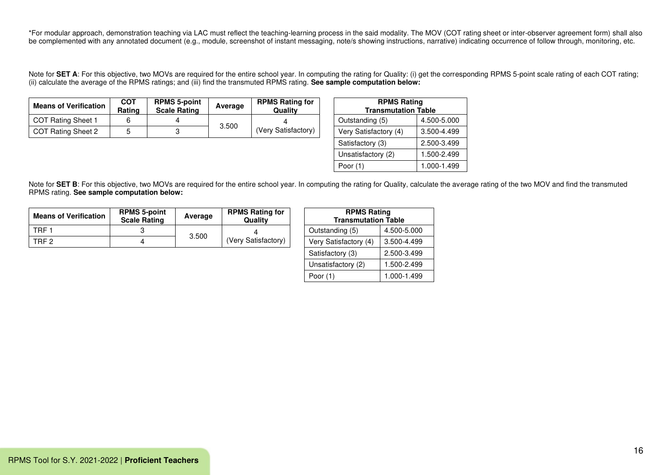\*For modular approach, demonstration teaching via LAC must reflect the teaching-learning process in the said modality. The MOV (COT rating sheet or inter-observer agreement form) shall also be complemented with any annotated document (e.g., module, screenshot of instant messaging, note/s showing instructions, narrative) indicating occurrence of follow through, monitoring, etc.

Note for SET A: For this objective, two MOVs are required for the entire school year. In computing the rating for Quality: (i) get the corresponding RPMS 5-point scale rating of each COT rating; (ii) calculate the average of the RPMS ratings; and (iii) find the transmuted RPMS rating. **See sample computation below:**

| <b>Means of Verification</b> | <b>COT</b><br>Rating | <b>RPMS 5-point</b><br><b>Scale Rating</b> | Average | <b>RPMS Rating for</b><br>Qualitv | <b>RPMS Rating</b><br><b>Transmutation Table</b> |             |
|------------------------------|----------------------|--------------------------------------------|---------|-----------------------------------|--------------------------------------------------|-------------|
| COT Rating Sheet 1           |                      |                                            |         |                                   | Outstanding (5)                                  | 4.500-5.000 |
| COT Rating Sheet 2           |                      |                                            | 3.500   | (Very Satisfactory)               | Very Satisfactory (4)                            | 3.500-4.499 |

| <b>RPMS Rating</b><br><b>Transmutation Table</b> |             |  |  |  |  |  |
|--------------------------------------------------|-------------|--|--|--|--|--|
| Outstanding (5)                                  | 4.500-5.000 |  |  |  |  |  |
| Very Satisfactory (4)                            | 3.500-4.499 |  |  |  |  |  |
| Satisfactory (3)                                 | 2.500-3.499 |  |  |  |  |  |
| Unsatisfactory (2)                               | 1.500-2.499 |  |  |  |  |  |
| Poor (1)                                         | 1.000-1.499 |  |  |  |  |  |

Note for SET B: For this objective, two MOVs are required for the entire school year. In computing the rating for Quality, calculate the average rating of the two MOV and find the transmuted RPMS rating. **See sample computation below:**

| <b>Means of Verification</b> | <b>RPMS 5-point</b><br><b>Scale Rating</b> | Average | <b>RPMS Rating for</b><br>Quality |  | <b>RPMS Rating</b><br><b>Transmutation Table</b> |             |
|------------------------------|--------------------------------------------|---------|-----------------------------------|--|--------------------------------------------------|-------------|
| TRF :                        |                                            | 3.500   |                                   |  | Outstanding (5)                                  | 4.500-5.000 |
| TRF <sub>2</sub>             |                                            |         | (Very Satisfactory)               |  | Very Satisfactory (4)                            | 3.500-4.499 |

| <b>RPMS Rating</b><br><b>Transmutation Table</b> |             |  |  |  |  |  |  |
|--------------------------------------------------|-------------|--|--|--|--|--|--|
| Outstanding (5)                                  | 4.500-5.000 |  |  |  |  |  |  |
| Very Satisfactory (4)                            | 3.500-4.499 |  |  |  |  |  |  |
| Satisfactory (3)                                 | 2.500-3.499 |  |  |  |  |  |  |
| Unsatisfactory (2)                               | 1.500-2.499 |  |  |  |  |  |  |
| Poor $(1)$                                       | 1.000-1.499 |  |  |  |  |  |  |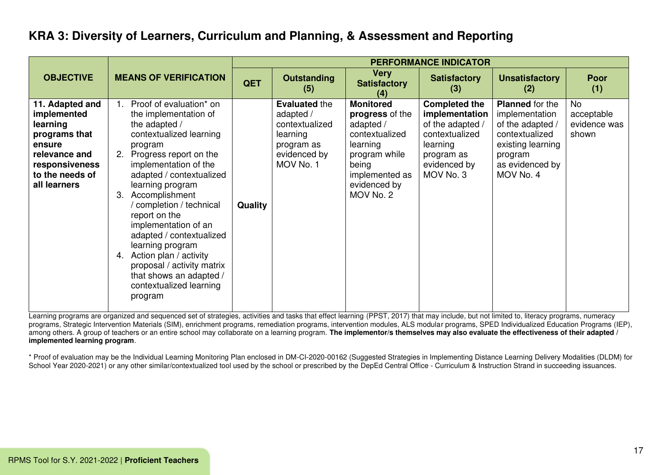## **KRA 3: Diversity of Learners, Curriculum and Planning, & Assessment and Reporting**

|                                                                                                                                             |                                                                                                                                                                                                                                                                                                                                                                                                                                                                                                    |                |                                                                                                            |                                                                                                                                                         | <b>PERFORMANCE INDICATOR</b>                                                                                                        |                                                                                                                                                |                                                  |
|---------------------------------------------------------------------------------------------------------------------------------------------|----------------------------------------------------------------------------------------------------------------------------------------------------------------------------------------------------------------------------------------------------------------------------------------------------------------------------------------------------------------------------------------------------------------------------------------------------------------------------------------------------|----------------|------------------------------------------------------------------------------------------------------------|---------------------------------------------------------------------------------------------------------------------------------------------------------|-------------------------------------------------------------------------------------------------------------------------------------|------------------------------------------------------------------------------------------------------------------------------------------------|--------------------------------------------------|
| <b>OBJECTIVE</b>                                                                                                                            | <b>MEANS OF VERIFICATION</b>                                                                                                                                                                                                                                                                                                                                                                                                                                                                       | <b>QET</b>     | <b>Outstanding</b><br>(5)                                                                                  | <b>Very</b><br><b>Satisfactory</b><br>(4)                                                                                                               | <b>Satisfactory</b><br>(3)                                                                                                          | <b>Unsatisfactory</b><br>(2)                                                                                                                   | <b>Poor</b><br>(1)                               |
| 11. Adapted and<br>implemented<br>learning<br>programs that<br>ensure<br>relevance and<br>responsiveness<br>to the needs of<br>all learners | Proof of evaluation* on<br>1.<br>the implementation of<br>the adapted /<br>contextualized learning<br>program<br>Progress report on the<br>2.<br>implementation of the<br>adapted / contextualized<br>learning program<br>Accomplishment<br>3.<br>/ completion / technical<br>report on the<br>implementation of an<br>adapted / contextualized<br>learning program<br>Action plan / activity<br>4.<br>proposal / activity matrix<br>that shows an adapted /<br>contextualized learning<br>program | <b>Quality</b> | <b>Evaluated the</b><br>adapted /<br>contextualized<br>learning<br>program as<br>evidenced by<br>MOV No. 1 | <b>Monitored</b><br>progress of the<br>adapted /<br>contextualized<br>learning<br>program while<br>being<br>implemented as<br>evidenced by<br>MOV No. 2 | <b>Completed the</b><br>implementation<br>of the adapted /<br>contextualized<br>learning<br>program as<br>evidenced by<br>MOV No. 3 | <b>Planned</b> for the<br>implementation<br>of the adapted /<br>contextualized<br>existing learning<br>program<br>as evidenced by<br>MOV No. 4 | <b>No</b><br>acceptable<br>evidence was<br>shown |

Learning programs are organized and sequenced set of strategies, activities and tasks that effect learning (PPST, 2017) that may include, but not limited to, literacy programs, numeracy programs, Strategic Intervention Materials (SIM), enrichment programs, remediation programs, intervention modules, ALS modular programs, SPED Individualized Education Programs (IEP), among others. A group of teachers or an entire school may collaborate on a learning program. The implementor/s themselves may also evaluate the effectiveness of their adapted / **implemented learning program**.

\* Proof of evaluation may be the Individual Learning Monitoring Plan enclosed in DM-CI-2020-00162 (Suggested Strategies in Implementing Distance Learning Delivery Modalities (DLDM) for School Year 2020-2021) or any other similar/contextualized tool used by the school or prescribed by the DepEd Central Office - Curriculum & Instruction Strand in succeeding issuances.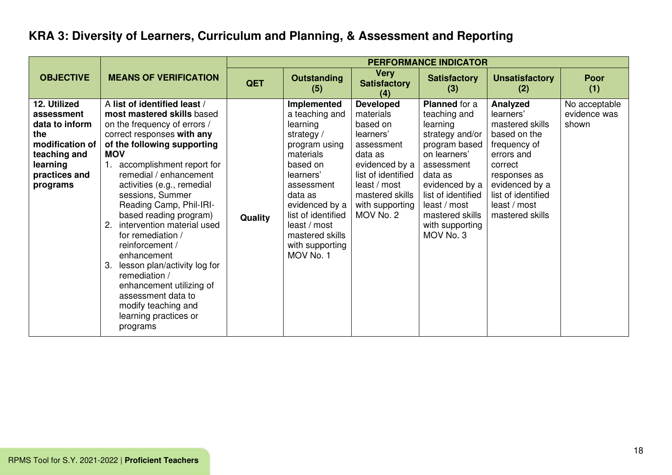# **KRA 3: Diversity of Learners, Curriculum and Planning, & Assessment and Reporting**

|                                                                                                                                 |                                                                                                                                                                                                                                                                                                                                                                                                                                                                                                                                                                                               |            | <b>PERFORMANCE INDICATOR</b>                                                                                                                                                                                                                       |                                                                                                                                                                                            |                                                                                                                                                                                                                                   |                                                                                                                                                                                              |                                        |  |  |
|---------------------------------------------------------------------------------------------------------------------------------|-----------------------------------------------------------------------------------------------------------------------------------------------------------------------------------------------------------------------------------------------------------------------------------------------------------------------------------------------------------------------------------------------------------------------------------------------------------------------------------------------------------------------------------------------------------------------------------------------|------------|----------------------------------------------------------------------------------------------------------------------------------------------------------------------------------------------------------------------------------------------------|--------------------------------------------------------------------------------------------------------------------------------------------------------------------------------------------|-----------------------------------------------------------------------------------------------------------------------------------------------------------------------------------------------------------------------------------|----------------------------------------------------------------------------------------------------------------------------------------------------------------------------------------------|----------------------------------------|--|--|
| <b>OBJECTIVE</b>                                                                                                                | <b>MEANS OF VERIFICATION</b>                                                                                                                                                                                                                                                                                                                                                                                                                                                                                                                                                                  | <b>QET</b> | <b>Outstanding</b><br>(5)                                                                                                                                                                                                                          | <b>Very</b><br><b>Satisfactory</b><br>(4)                                                                                                                                                  | <b>Satisfactory</b><br>(3)                                                                                                                                                                                                        | <b>Unsatisfactory</b><br>(2)                                                                                                                                                                 | <b>Poor</b><br>(1)                     |  |  |
| 12. Utilized<br>assessment<br>data to inform<br>the<br>modification of<br>teaching and<br>learning<br>practices and<br>programs | A list of identified least /<br>most mastered skills based<br>on the frequency of errors /<br>correct responses with any<br>of the following supporting<br><b>MOV</b><br>accomplishment report for<br>remedial / enhancement<br>activities (e.g., remedial<br>sessions, Summer<br>Reading Camp, Phil-IRI-<br>based reading program)<br>2. intervention material used<br>for remediation /<br>reinforcement /<br>enhancement<br>3. lesson plan/activity log for<br>remediation /<br>enhancement utilizing of<br>assessment data to<br>modify teaching and<br>learning practices or<br>programs | Quality    | Implemented<br>a teaching and<br>learning<br>strategy /<br>program using<br>materials<br>based on<br>learners'<br>assessment<br>data as<br>evidenced by a<br>list of identified<br>least / most<br>mastered skills<br>with supporting<br>MOV No. 1 | <b>Developed</b><br>materials<br>based on<br>learners'<br>assessment<br>data as<br>evidenced by a<br>list of identified<br>least / most<br>mastered skills<br>with supporting<br>MOV No. 2 | Planned for a<br>teaching and<br>learning<br>strategy and/or<br>program based<br>on learners'<br>assessment<br>data as<br>evidenced by a<br>list of identified<br>least / most<br>mastered skills<br>with supporting<br>MOV No. 3 | Analyzed<br>learners'<br>mastered skills<br>based on the<br>frequency of<br>errors and<br>correct<br>responses as<br>evidenced by a<br>list of identified<br>least / most<br>mastered skills | No acceptable<br>evidence was<br>shown |  |  |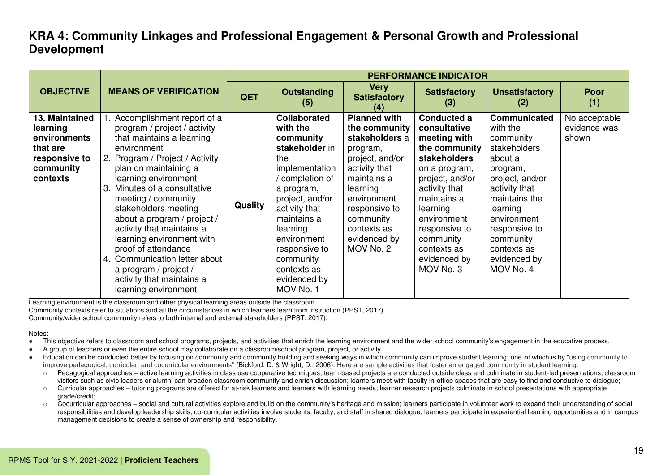|                                                                                                  |                                                                                                                                                                                                                                                                                                                                                                                                                                                                                                                | <b>PERFORMANCE INDICATOR</b> |                                                                                                                                                                                                                                                                                |                                                                                                                                                                                                                            |                                                                                                                                                                                                                                                              |                                                                                                                                                                                                                                               |                                        |  |
|--------------------------------------------------------------------------------------------------|----------------------------------------------------------------------------------------------------------------------------------------------------------------------------------------------------------------------------------------------------------------------------------------------------------------------------------------------------------------------------------------------------------------------------------------------------------------------------------------------------------------|------------------------------|--------------------------------------------------------------------------------------------------------------------------------------------------------------------------------------------------------------------------------------------------------------------------------|----------------------------------------------------------------------------------------------------------------------------------------------------------------------------------------------------------------------------|--------------------------------------------------------------------------------------------------------------------------------------------------------------------------------------------------------------------------------------------------------------|-----------------------------------------------------------------------------------------------------------------------------------------------------------------------------------------------------------------------------------------------|----------------------------------------|--|
| <b>OBJECTIVE</b>                                                                                 | <b>MEANS OF VERIFICATION</b>                                                                                                                                                                                                                                                                                                                                                                                                                                                                                   | QET                          | <b>Outstanding</b><br>(5)                                                                                                                                                                                                                                                      | <b>Very</b><br><b>Satisfactory</b><br>(4)                                                                                                                                                                                  | <b>Satisfactory</b><br>(3)                                                                                                                                                                                                                                   | <b>Unsatisfactory</b><br>(2)                                                                                                                                                                                                                  | <b>Poor</b><br>(1)                     |  |
| 13. Maintained<br>learning<br>environments<br>that are<br>responsive to<br>community<br>contexts | Accomplishment report of a<br>program / project / activity<br>that maintains a learning<br>environment<br>2. Program / Project / Activity<br>plan on maintaining a<br>learning environment<br>Minutes of a consultative<br>3.<br>meeting / community<br>stakeholders meeting<br>about a program / project /<br>activity that maintains a<br>learning environment with<br>proof of attendance<br>Communication letter about<br>4.<br>a program / project /<br>activity that maintains a<br>learning environment | Quality                      | <b>Collaborated</b><br>with the<br>community<br>stakeholder in<br>the<br>implementation<br>completion of<br>a program,<br>project, and/or<br>activity that<br>maintains a<br>learning<br>environment<br>responsive to<br>community<br>contexts as<br>evidenced by<br>MOV No. 1 | <b>Planned with</b><br>the community<br>stakeholders a<br>program,<br>project, and/or<br>activity that<br>maintains a<br>learning<br>environment<br>responsive to<br>community<br>contexts as<br>evidenced by<br>MOV No. 2 | <b>Conducted a</b><br>consultative<br>meeting with<br>the community<br>stakeholders<br>on a program,<br>project, and/or<br>activity that<br>maintains a<br>learning<br>environment<br>responsive to<br>community<br>contexts as<br>evidenced by<br>MOV No. 3 | <b>Communicated</b><br>with the<br>community<br>stakeholders<br>about a<br>program,<br>project, and/or<br>activity that<br>maintains the<br>learning<br>environment<br>responsive to<br>community<br>contexts as<br>evidenced by<br>MOV No. 4 | No acceptable<br>evidence was<br>shown |  |

Learning environment is the classroom and other physical learning areas outside the classroom.

Community contexts refer to situations and all the circumstances in which learners learn from instruction (PPST, 2017).

Community/wider school community refers to both internal and external stakeholders (PPST, 2017).

#### Notes:

- This objective refers to classroom and school programs, projects, and activities that enrich the learning environment and the wider school community's engagement in the educative process.
- A group of teachers or even the entire school may collaborate on a classroom/school program, project, or activity.
- Education can be conducted better by focusing on community and community building and seeking ways in which community can improve student learning; one of which is by "using community to improve pedagogical, curricular, and cocurricular environments" (Bickford, D. & Wright, D., 2006). Here are sample activities that foster an engaged community in student learning:
	- $\circ$  Pedagogical approaches active learning activities in class use cooperative techniques; team-based projects are conducted outside class and culminate in student-led presentations; classroom visitors such as civic leaders or alumni can broaden classroom community and enrich discussion; learners meet with faculty in office spaces that are easy to find and conducive to dialogue;
	- $\circ$  Curricular approaches tutoring programs are offered for at-risk learners and learners with learning needs; learner research projects culminate in school presentations with appropriate grade/credit;
	- $\circ$  Cocurricular approaches social and cultural activities explore and build on the community's heritage and mission; learners participate in volunteer work to expand their understanding of social responsibilities and develop leadership skills; co-curricular activities involve students, faculty, and staff in shared dialogue; learners participate in experiential learning opportunities and in campus management decisions to create a sense of ownership and responsibility.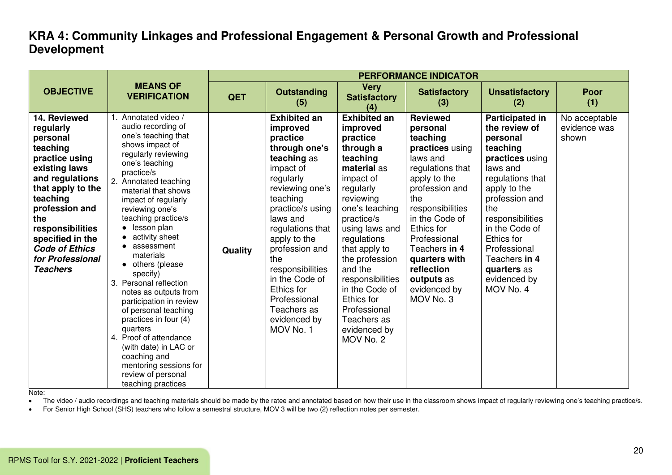|                                                                                                                                                                                                                                                                           |                                                                                                                                                                                                                                                                                                                                                                                                                                                                                                                                                                                                                                              | <b>PERFORMANCE INDICATOR</b> |                                                                                                                                                                                                                                                                                                                                                   |                                                                                                                                                                                                                                                                                                                                                           |                                                                                                                                                                                                                                                                                                    |                                                                                                                                                                                                                                                                                              |                                        |  |  |
|---------------------------------------------------------------------------------------------------------------------------------------------------------------------------------------------------------------------------------------------------------------------------|----------------------------------------------------------------------------------------------------------------------------------------------------------------------------------------------------------------------------------------------------------------------------------------------------------------------------------------------------------------------------------------------------------------------------------------------------------------------------------------------------------------------------------------------------------------------------------------------------------------------------------------------|------------------------------|---------------------------------------------------------------------------------------------------------------------------------------------------------------------------------------------------------------------------------------------------------------------------------------------------------------------------------------------------|-----------------------------------------------------------------------------------------------------------------------------------------------------------------------------------------------------------------------------------------------------------------------------------------------------------------------------------------------------------|----------------------------------------------------------------------------------------------------------------------------------------------------------------------------------------------------------------------------------------------------------------------------------------------------|----------------------------------------------------------------------------------------------------------------------------------------------------------------------------------------------------------------------------------------------------------------------------------------------|----------------------------------------|--|--|
| <b>OBJECTIVE</b>                                                                                                                                                                                                                                                          | <b>MEANS OF</b><br><b>VERIFICATION</b>                                                                                                                                                                                                                                                                                                                                                                                                                                                                                                                                                                                                       | <b>QET</b>                   | <b>Outstanding</b><br>(5)                                                                                                                                                                                                                                                                                                                         | <b>Very</b><br><b>Satisfactory</b><br>(4)                                                                                                                                                                                                                                                                                                                 | <b>Satisfactory</b><br>(3)                                                                                                                                                                                                                                                                         | <b>Unsatisfactory</b><br>(2)                                                                                                                                                                                                                                                                 | Poor<br>(1)                            |  |  |
| 14. Reviewed<br>regularly<br>personal<br>teaching<br>practice using<br>existing laws<br>and regulations<br>that apply to the<br>teaching<br>profession and<br>the<br>responsibilities<br>specified in the<br><b>Code of Ethics</b><br>for Professional<br><b>Teachers</b> | Annotated video /<br>audio recording of<br>one's teaching that<br>shows impact of<br>regularly reviewing<br>one's teaching<br>practice/s<br>2.<br>Annotated teaching<br>material that shows<br>impact of regularly<br>reviewing one's<br>teaching practice/s<br>lesson plan<br>activity sheet<br>assessment<br>materials<br>• others (please<br>specify)<br>3. Personal reflection<br>notes as outputs from<br>participation in review<br>of personal teaching<br>practices in four (4)<br>quarters<br>4. Proof of attendance<br>(with date) in LAC or<br>coaching and<br>mentoring sessions for<br>review of personal<br>teaching practices | Quality                      | <b>Exhibited an</b><br>improved<br>practice<br>through one's<br>teaching as<br>impact of<br>regularly<br>reviewing one's<br>teaching<br>practice/s using<br>laws and<br>regulations that<br>apply to the<br>profession and<br>the<br>responsibilities<br>in the Code of<br>Ethics for<br>Professional<br>Teachers as<br>evidenced by<br>MOV No. 1 | <b>Exhibited an</b><br>improved<br>practice<br>through a<br>teaching<br>material as<br>impact of<br>regularly<br>reviewing<br>one's teaching<br>practice/s<br>using laws and<br>regulations<br>that apply to<br>the profession<br>and the<br>responsibilities<br>in the Code of<br>Ethics for<br>Professional<br>Teachers as<br>evidenced by<br>MOV No. 2 | <b>Reviewed</b><br>personal<br>teaching<br>practices using<br>laws and<br>regulations that<br>apply to the<br>profession and<br>the<br>responsibilities<br>in the Code of<br>Ethics for<br>Professional<br>Teachers in 4<br>quarters with<br>reflection<br>outputs as<br>evidenced by<br>MOV No. 3 | <b>Participated in</b><br>the review of<br>personal<br>teaching<br>practices using<br>laws and<br>regulations that<br>apply to the<br>profession and<br>the<br>responsibilities<br>in the Code of<br>Ethics for<br>Professional<br>Teachers in 4<br>quarters as<br>evidenced by<br>MOV No. 4 | No acceptable<br>evidence was<br>shown |  |  |

Note:

• The video / audio recordings and teaching materials should be made by the ratee and annotated based on how their use in the classroom shows impact of regularly reviewing one's teaching practice/s.

• For Senior High School (SHS) teachers who follow a semestral structure, MOV 3 will be two (2) reflection notes per semester.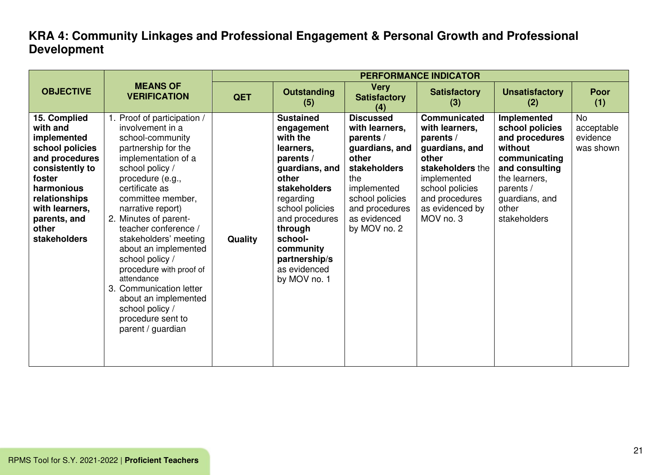|                                                                                                                                                                                                            |                                                                                                                                                                                                                                                                                                                                                                                                                                                                                                    | <b>PERFORMANCE INDICATOR</b> |                                                                                                                                                                                                                                                       |                                                                                                                                                                                       |                                                                                                                                                                                       |                                                                                                                                                                         |                                                  |  |  |
|------------------------------------------------------------------------------------------------------------------------------------------------------------------------------------------------------------|----------------------------------------------------------------------------------------------------------------------------------------------------------------------------------------------------------------------------------------------------------------------------------------------------------------------------------------------------------------------------------------------------------------------------------------------------------------------------------------------------|------------------------------|-------------------------------------------------------------------------------------------------------------------------------------------------------------------------------------------------------------------------------------------------------|---------------------------------------------------------------------------------------------------------------------------------------------------------------------------------------|---------------------------------------------------------------------------------------------------------------------------------------------------------------------------------------|-------------------------------------------------------------------------------------------------------------------------------------------------------------------------|--------------------------------------------------|--|--|
| <b>OBJECTIVE</b>                                                                                                                                                                                           | <b>MEANS OF</b><br><b>VERIFICATION</b>                                                                                                                                                                                                                                                                                                                                                                                                                                                             | <b>QET</b>                   | <b>Outstanding</b><br>(5)                                                                                                                                                                                                                             | <b>Very</b><br><b>Satisfactory</b><br>(4)                                                                                                                                             | <b>Satisfactory</b><br>(3)                                                                                                                                                            | <b>Unsatisfactory</b><br>(2)                                                                                                                                            | <b>Poor</b><br>(1)                               |  |  |
| 15. Complied<br>with and<br>implemented<br>school policies<br>and procedures<br>consistently to<br>foster<br>harmonious<br>relationships<br>with learners,<br>parents, and<br>other<br><b>stakeholders</b> | 1. Proof of participation /<br>involvement in a<br>school-community<br>partnership for the<br>implementation of a<br>school policy /<br>procedure (e.g.,<br>certificate as<br>committee member,<br>narrative report)<br>2. Minutes of parent-<br>teacher conference /<br>stakeholders' meeting<br>about an implemented<br>school policy /<br>procedure with proof of<br>attendance<br>3. Communication letter<br>about an implemented<br>school policy /<br>procedure sent to<br>parent / guardian | <b>Quality</b>               | <b>Sustained</b><br>engagement<br>with the<br>learners,<br>parents /<br>guardians, and<br>other<br>stakeholders<br>regarding<br>school policies<br>and procedures<br>through<br>school-<br>community<br>partnership/s<br>as evidenced<br>by MOV no. 1 | <b>Discussed</b><br>with learners,<br>parents /<br>guardians, and<br>other<br>stakeholders<br>the<br>implemented<br>school policies<br>and procedures<br>as evidenced<br>by MOV no. 2 | <b>Communicated</b><br>with learners,<br>parents /<br>guardians, and<br>other<br>stakeholders the<br>implemented<br>school policies<br>and procedures<br>as evidenced by<br>MOV no. 3 | Implemented<br>school policies<br>and procedures<br>without<br>communicating<br>and consulting<br>the learners,<br>parents /<br>guardians, and<br>other<br>stakeholders | <b>No</b><br>acceptable<br>evidence<br>was shown |  |  |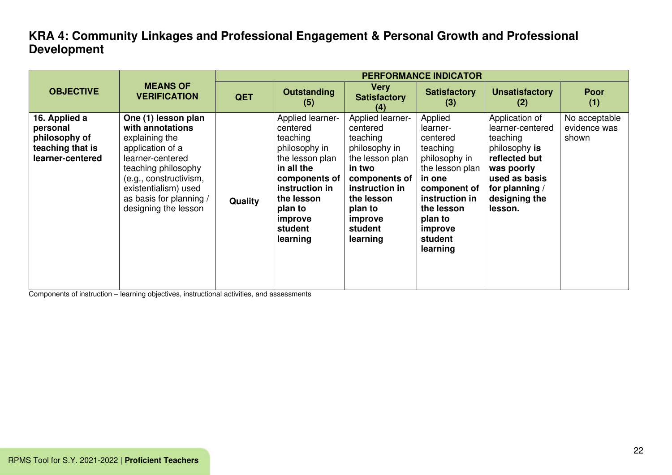|                                                                                    |                                                                                                                                                                                                                               | <b>PERFORMANCE INDICATOR</b> |                                                                                                                                                                                          |                                                                                                                                                                                      |                                                                                                                                                                                        |                                                                                                                                                               |                                        |  |
|------------------------------------------------------------------------------------|-------------------------------------------------------------------------------------------------------------------------------------------------------------------------------------------------------------------------------|------------------------------|------------------------------------------------------------------------------------------------------------------------------------------------------------------------------------------|--------------------------------------------------------------------------------------------------------------------------------------------------------------------------------------|----------------------------------------------------------------------------------------------------------------------------------------------------------------------------------------|---------------------------------------------------------------------------------------------------------------------------------------------------------------|----------------------------------------|--|
| <b>OBJECTIVE</b>                                                                   | <b>MEANS OF</b><br><b>VERIFICATION</b>                                                                                                                                                                                        | <b>QET</b>                   | <b>Outstanding</b><br>(5)                                                                                                                                                                | <b>Very</b><br><b>Satisfactory</b><br>(4)                                                                                                                                            | <b>Satisfactory</b><br>(3)                                                                                                                                                             | <b>Unsatisfactory</b><br>(2)                                                                                                                                  | <b>Poor</b><br>(1)                     |  |
| 16. Applied a<br>personal<br>philosophy of<br>teaching that is<br>learner-centered | One (1) lesson plan<br>with annotations<br>explaining the<br>application of a<br>learner-centered<br>teaching philosophy<br>(e.g., constructivism,<br>existentialism) used<br>as basis for planning /<br>designing the lesson | Quality                      | Applied learner-<br>centered<br>teaching<br>philosophy in<br>the lesson plan<br>in all the<br>components of<br>instruction in<br>the lesson<br>plan to<br>improve<br>student<br>learning | Applied learner-<br>centered<br>teaching<br>philosophy in<br>the lesson plan<br>in two<br>components of<br>instruction in<br>the lesson<br>plan to<br>improve<br>student<br>learning | Applied<br>learner-<br>centered<br>teaching<br>philosophy in<br>the lesson plan<br>in one<br>component of<br>instruction in<br>the lesson<br>plan to<br>improve<br>student<br>learning | Application of<br>learner-centered<br>teaching<br>philosophy is<br>reflected but<br>was poorly<br>used as basis<br>for planning /<br>designing the<br>lesson. | No acceptable<br>evidence was<br>shown |  |

Components of instruction – learning objectives, instructional activities, and assessments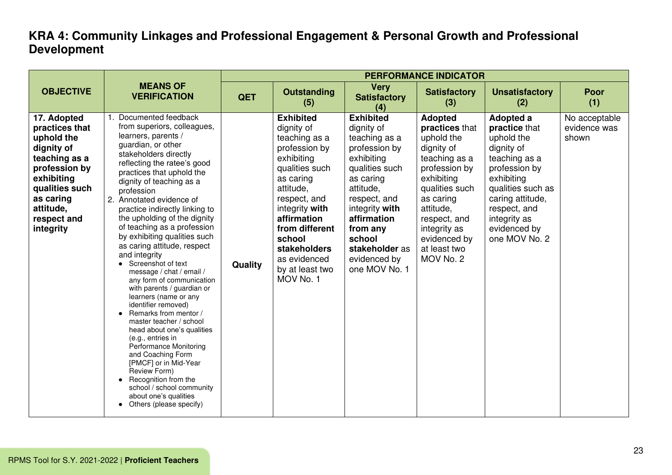|                                                                                                                                                                                   |                                                                                                                                                                                                                                                                                                                                                                                                                                                                                                                                                                                                                                                                                                                                                                                                                                                                                                                                          | <b>PERFORMANCE INDICATOR</b> |                                                                                                                                                                                                                                                                         |                                                                                                                                                                                                                                                      |                                                                                                                                                                                                                                       |                                                                                                                                                                                                                  |                                        |  |  |
|-----------------------------------------------------------------------------------------------------------------------------------------------------------------------------------|------------------------------------------------------------------------------------------------------------------------------------------------------------------------------------------------------------------------------------------------------------------------------------------------------------------------------------------------------------------------------------------------------------------------------------------------------------------------------------------------------------------------------------------------------------------------------------------------------------------------------------------------------------------------------------------------------------------------------------------------------------------------------------------------------------------------------------------------------------------------------------------------------------------------------------------|------------------------------|-------------------------------------------------------------------------------------------------------------------------------------------------------------------------------------------------------------------------------------------------------------------------|------------------------------------------------------------------------------------------------------------------------------------------------------------------------------------------------------------------------------------------------------|---------------------------------------------------------------------------------------------------------------------------------------------------------------------------------------------------------------------------------------|------------------------------------------------------------------------------------------------------------------------------------------------------------------------------------------------------------------|----------------------------------------|--|--|
| <b>OBJECTIVE</b>                                                                                                                                                                  | <b>MEANS OF</b><br><b>VERIFICATION</b>                                                                                                                                                                                                                                                                                                                                                                                                                                                                                                                                                                                                                                                                                                                                                                                                                                                                                                   | <b>QET</b>                   | <b>Outstanding</b><br>(5)                                                                                                                                                                                                                                               | <b>Very</b><br><b>Satisfactory</b><br>(4)                                                                                                                                                                                                            | <b>Satisfactory</b><br>(3)                                                                                                                                                                                                            | <b>Unsatisfactory</b><br>(2)                                                                                                                                                                                     | <b>Poor</b><br>(1)                     |  |  |
| 17. Adopted<br>practices that<br>uphold the<br>dignity of<br>teaching as a<br>profession by<br>exhibiting<br>qualities such<br>as caring<br>attitude,<br>respect and<br>integrity | Documented feedback<br>from superiors, colleagues,<br>learners, parents /<br>guardian, or other<br>stakeholders directly<br>reflecting the ratee's good<br>practices that uphold the<br>dignity of teaching as a<br>profession<br>2. Annotated evidence of<br>practice indirectly linking to<br>the upholding of the dignity<br>of teaching as a profession<br>by exhibiting qualities such<br>as caring attitude, respect<br>and integrity<br>• Screenshot of text<br>message / chat / email /<br>any form of communication<br>with parents / guardian or<br>learners (name or any<br>identifier removed)<br>• Remarks from mentor /<br>master teacher / school<br>head about one's qualities<br>(e.g., entries in<br><b>Performance Monitoring</b><br>and Coaching Form<br>[PMCF] or in Mid-Year<br>Review Form)<br>Recognition from the<br>$\bullet$<br>school / school community<br>about one's qualities<br>Others (please specify) | Quality                      | <b>Exhibited</b><br>dignity of<br>teaching as a<br>profession by<br>exhibiting<br>qualities such<br>as caring<br>attitude,<br>respect, and<br>integrity with<br>affirmation<br>from different<br>school<br>stakeholders<br>as evidenced<br>by at least two<br>MOV No. 1 | <b>Exhibited</b><br>dignity of<br>teaching as a<br>profession by<br>exhibiting<br>qualities such<br>as caring<br>attitude,<br>respect, and<br>integrity with<br>affirmation<br>from any<br>school<br>stakeholder as<br>evidenced by<br>one MOV No. 1 | <b>Adopted</b><br>practices that<br>uphold the<br>dignity of<br>teaching as a<br>profession by<br>exhibiting<br>qualities such<br>as caring<br>attitude,<br>respect, and<br>integrity as<br>evidenced by<br>at least two<br>MOV No. 2 | Adopted a<br>practice that<br>uphold the<br>dignity of<br>teaching as a<br>profession by<br>exhibiting<br>qualities such as<br>caring attitude,<br>respect, and<br>integrity as<br>evidenced by<br>one MOV No. 2 | No acceptable<br>evidence was<br>shown |  |  |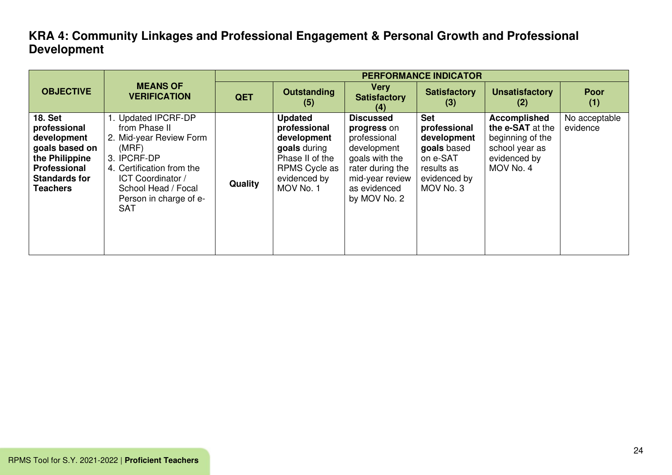|                                                                                                                                              |                                                                                                                                                                                                          |            | <b>PERFORMANCE INDICATOR</b>                                                                                                   |                                                                                                                                                         |                                                                                                                 |                                                                                                     |                           |  |  |
|----------------------------------------------------------------------------------------------------------------------------------------------|----------------------------------------------------------------------------------------------------------------------------------------------------------------------------------------------------------|------------|--------------------------------------------------------------------------------------------------------------------------------|---------------------------------------------------------------------------------------------------------------------------------------------------------|-----------------------------------------------------------------------------------------------------------------|-----------------------------------------------------------------------------------------------------|---------------------------|--|--|
| <b>OBJECTIVE</b>                                                                                                                             | <b>MEANS OF</b><br><b>VERIFICATION</b>                                                                                                                                                                   | <b>QET</b> | <b>Outstanding</b><br>(5)                                                                                                      | <b>Very</b><br><b>Satisfactory</b><br>(4)                                                                                                               | <b>Satisfactory</b><br>(3)                                                                                      | <b>Unsatisfactory</b><br>(2)                                                                        | Poor<br>(1)               |  |  |
| <b>18. Set</b><br>professional<br>development<br>goals based on<br>the Philippine<br>Professional<br><b>Standards for</b><br><b>Teachers</b> | 1. Updated IPCRF-DP<br>from Phase II<br>2. Mid-year Review Form<br>(MRF)<br>3. IPCRF-DP<br>4. Certification from the<br>ICT Coordinator /<br>School Head / Focal<br>Person in charge of e-<br><b>SAT</b> | Quality    | <b>Updated</b><br>professional<br>development<br>goals during<br>Phase II of the<br>RPMS Cycle as<br>evidenced by<br>MOV No. 1 | <b>Discussed</b><br>progress on<br>professional<br>development<br>goals with the<br>rater during the<br>mid-year review<br>as evidenced<br>by MOV No. 2 | <b>Set</b><br>professional<br>development<br>goals based<br>on e-SAT<br>results as<br>evidenced by<br>MOV No. 3 | Accomplished<br>the e-SAT at the<br>beginning of the<br>school year as<br>evidenced by<br>MOV No. 4 | No acceptable<br>evidence |  |  |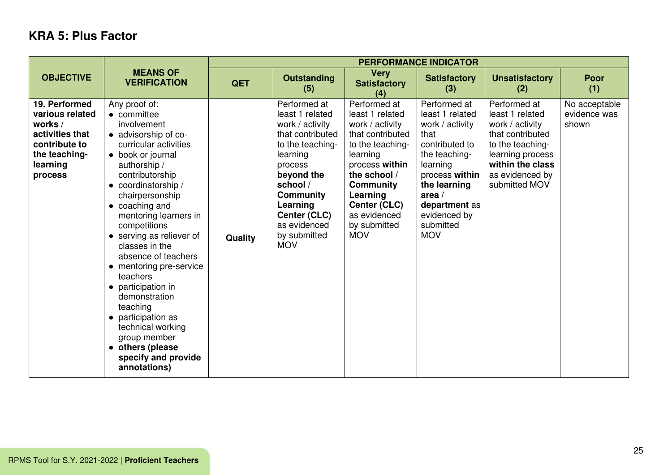# **KRA 5: Plus Factor**

|                                                                                                                         |                                                                                                                                                                                                                                                                                                                                                                                                                                                                                                                                                        | <b>PERFORMANCE INDICATOR</b> |                                                                                                                                                                                                                                           |                                                                                                                                                                                                                                        |                                                                                                                                                                                                                     |                                                                                                                                                                        |                                        |  |  |
|-------------------------------------------------------------------------------------------------------------------------|--------------------------------------------------------------------------------------------------------------------------------------------------------------------------------------------------------------------------------------------------------------------------------------------------------------------------------------------------------------------------------------------------------------------------------------------------------------------------------------------------------------------------------------------------------|------------------------------|-------------------------------------------------------------------------------------------------------------------------------------------------------------------------------------------------------------------------------------------|----------------------------------------------------------------------------------------------------------------------------------------------------------------------------------------------------------------------------------------|---------------------------------------------------------------------------------------------------------------------------------------------------------------------------------------------------------------------|------------------------------------------------------------------------------------------------------------------------------------------------------------------------|----------------------------------------|--|--|
| <b>OBJECTIVE</b>                                                                                                        | <b>MEANS OF</b><br><b>VERIFICATION</b>                                                                                                                                                                                                                                                                                                                                                                                                                                                                                                                 | <b>QET</b>                   | <b>Outstanding</b><br>(5)                                                                                                                                                                                                                 | <b>Very</b><br><b>Satisfactory</b><br>(4)                                                                                                                                                                                              | <b>Satisfactory</b><br>(3)                                                                                                                                                                                          | <b>Unsatisfactory</b><br>(2)                                                                                                                                           | <b>Poor</b><br>(1)                     |  |  |
| 19. Performed<br>various related<br>works /<br>activities that<br>contribute to<br>the teaching-<br>learning<br>process | Any proof of:<br>$\bullet$ committee<br>involvement<br>• advisorship of co-<br>curricular activities<br>• book or journal<br>authorship /<br>contributorship<br>• coordinatorship /<br>chairpersonship<br>• coaching and<br>mentoring learners in<br>competitions<br>• serving as reliever of<br>classes in the<br>absence of teachers<br>• mentoring pre-service<br>teachers<br>• participation in<br>demonstration<br>teaching<br>• participation as<br>technical working<br>group member<br>• others (please<br>specify and provide<br>annotations) | Quality                      | Performed at<br>least 1 related<br>work / activity<br>that contributed<br>to the teaching-<br>learning<br>process<br>beyond the<br>school /<br><b>Community</b><br>Learning<br>Center (CLC)<br>as evidenced<br>by submitted<br><b>MOV</b> | Performed at<br>least 1 related<br>work / activity<br>that contributed<br>to the teaching-<br>learning<br>process within<br>the school /<br><b>Community</b><br>Learning<br>Center (CLC)<br>as evidenced<br>by submitted<br><b>MOV</b> | Performed at<br>least 1 related<br>work / activity<br>that<br>contributed to<br>the teaching-<br>learning<br>process within<br>the learning<br>area $/$<br>department as<br>evidenced by<br>submitted<br><b>MOV</b> | Performed at<br>least 1 related<br>work / activity<br>that contributed<br>to the teaching-<br>learning process<br>within the class<br>as evidenced by<br>submitted MOV | No acceptable<br>evidence was<br>shown |  |  |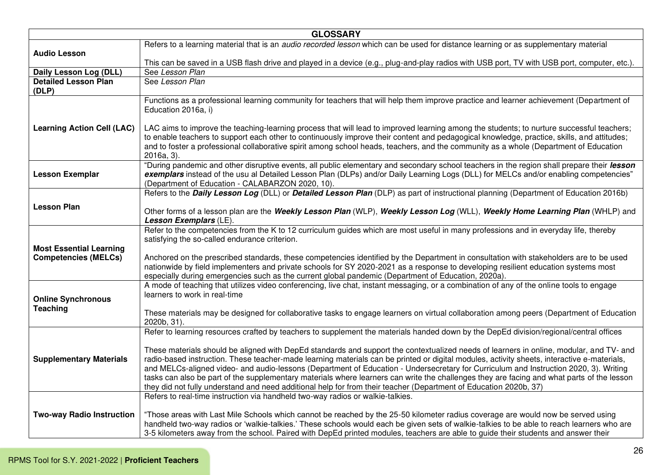|                                      | <b>GLOSSARY</b>                                                                                                                                                                                                                                                 |
|--------------------------------------|-----------------------------------------------------------------------------------------------------------------------------------------------------------------------------------------------------------------------------------------------------------------|
|                                      | Refers to a learning material that is an <i>audio recorded lesson</i> which can be used for distance learning or as supplementary material                                                                                                                      |
| <b>Audio Lesson</b>                  |                                                                                                                                                                                                                                                                 |
|                                      | This can be saved in a USB flash drive and played in a device (e.g., plug-and-play radios with USB port, TV with USB port, computer, etc.).                                                                                                                     |
| Daily Lesson Log (DLL)               | See Lesson Plan                                                                                                                                                                                                                                                 |
| <b>Detailed Lesson Plan</b><br>(DLP) | See Lesson Plan                                                                                                                                                                                                                                                 |
|                                      | Functions as a professional learning community for teachers that will help them improve practice and learner achievement (Department of                                                                                                                         |
|                                      | Education 2016a, i)                                                                                                                                                                                                                                             |
|                                      |                                                                                                                                                                                                                                                                 |
| <b>Learning Action Cell (LAC)</b>    | LAC aims to improve the teaching-learning process that will lead to improved learning among the students; to nurture successful teachers;                                                                                                                       |
|                                      | to enable teachers to support each other to continuously improve their content and pedagogical knowledge, practice, skills, and attitudes;                                                                                                                      |
|                                      | and to foster a professional collaborative spirit among school heads, teachers, and the community as a whole (Department of Education                                                                                                                           |
|                                      | $2016a, 3$ ).<br>"During pandemic and other disruptive events, all public elementary and secondary school teachers in the region shall prepare their lesson                                                                                                     |
| <b>Lesson Exemplar</b>               | exemplars instead of the usu al Detailed Lesson Plan (DLPs) and/or Daily Learning Logs (DLL) for MELCs and/or enabling competencies"                                                                                                                            |
|                                      | (Department of Education - CALABARZON 2020, 10).                                                                                                                                                                                                                |
|                                      | Refers to the <b>Daily Lesson Log</b> (DLL) or <b>Detailed Lesson Plan</b> (DLP) as part of instructional planning (Department of Education 2016b)                                                                                                              |
| <b>Lesson Plan</b>                   |                                                                                                                                                                                                                                                                 |
|                                      | Other forms of a lesson plan are the Weekly Lesson Plan (WLP), Weekly Lesson Log (WLL), Weekly Home Learning Plan (WHLP) and                                                                                                                                    |
|                                      | Lesson Exemplars (LE).                                                                                                                                                                                                                                          |
|                                      | Refer to the competencies from the K to 12 curriculum guides which are most useful in many professions and in everyday life, thereby                                                                                                                            |
| <b>Most Essential Learning</b>       | satisfying the so-called endurance criterion.                                                                                                                                                                                                                   |
| <b>Competencies (MELCs)</b>          | Anchored on the prescribed standards, these competencies identified by the Department in consultation with stakeholders are to be used                                                                                                                          |
|                                      | nationwide by field implementers and private schools for SY 2020-2021 as a response to developing resilient education systems most                                                                                                                              |
|                                      | especially during emergencies such as the current global pandemic (Department of Education, 2020a).                                                                                                                                                             |
|                                      | A mode of teaching that utilizes video conferencing, live chat, instant messaging, or a combination of any of the online tools to engage                                                                                                                        |
| <b>Online Synchronous</b>            | learners to work in real-time                                                                                                                                                                                                                                   |
| <b>Teaching</b>                      |                                                                                                                                                                                                                                                                 |
|                                      | These materials may be designed for collaborative tasks to engage learners on virtual collaboration among peers (Department of Education<br>2020b, 31).                                                                                                         |
|                                      | Refer to learning resources crafted by teachers to supplement the materials handed down by the DepEd division/regional/central offices                                                                                                                          |
|                                      |                                                                                                                                                                                                                                                                 |
|                                      | These materials should be aligned with DepEd standards and support the contextualized needs of learners in online, modular, and TV- and                                                                                                                         |
| <b>Supplementary Materials</b>       | radio-based instruction. These teacher-made learning materials can be printed or digital modules, activity sheets, interactive e-materials,                                                                                                                     |
|                                      | and MELCs-aligned video- and audio-lessons (Department of Education - Undersecretary for Curriculum and Instruction 2020, 3). Writing                                                                                                                           |
|                                      | tasks can also be part of the supplementary materials where learners can write the challenges they are facing and what parts of the lesson<br>they did not fully understand and need additional help for from their teacher (Department of Education 2020b, 37) |
|                                      | Refers to real-time instruction via handheld two-way radios or walkie-talkies.                                                                                                                                                                                  |
|                                      |                                                                                                                                                                                                                                                                 |
| <b>Two-way Radio Instruction</b>     | "Those areas with Last Mile Schools which cannot be reached by the 25-50 kilometer radius coverage are would now be served using                                                                                                                                |
|                                      | handheld two-way radios or 'walkie-talkies.' These schools would each be given sets of walkie-talkies to be able to reach learners who are                                                                                                                      |
|                                      | 3-5 kilometers away from the school. Paired with DepEd printed modules, teachers are able to guide their students and answer their                                                                                                                              |